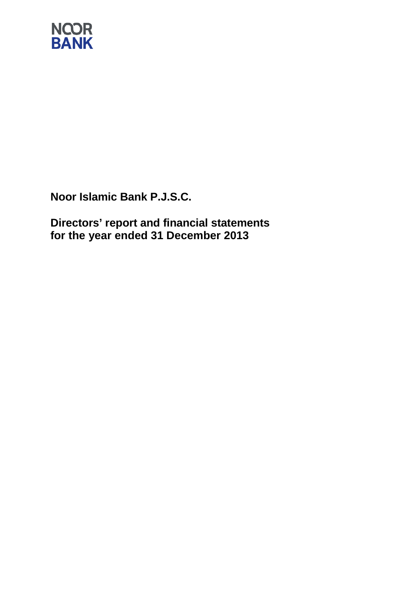

**Directors' report and financial statements for the year ended 31 December 2013**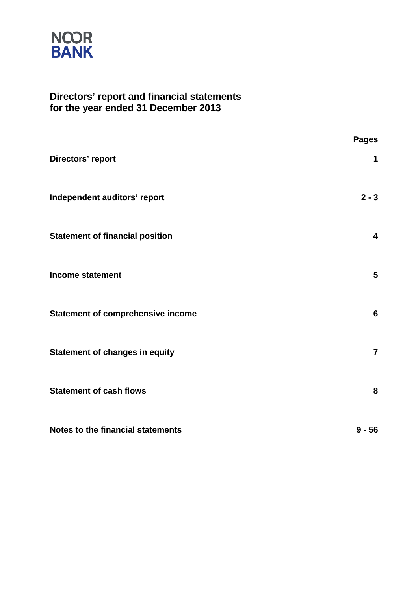

### **Directors' report and financial statements for the year ended 31 December 2013**

|                                          | <b>Pages</b>   |
|------------------------------------------|----------------|
| Directors' report                        | 1              |
| Independent auditors' report             | $2 - 3$        |
| <b>Statement of financial position</b>   | 4              |
| <b>Income statement</b>                  | 5              |
| <b>Statement of comprehensive income</b> | 6              |
| <b>Statement of changes in equity</b>    | $\overline{7}$ |
| <b>Statement of cash flows</b>           | 8              |
| Notes to the financial statements        | $9 - 56$       |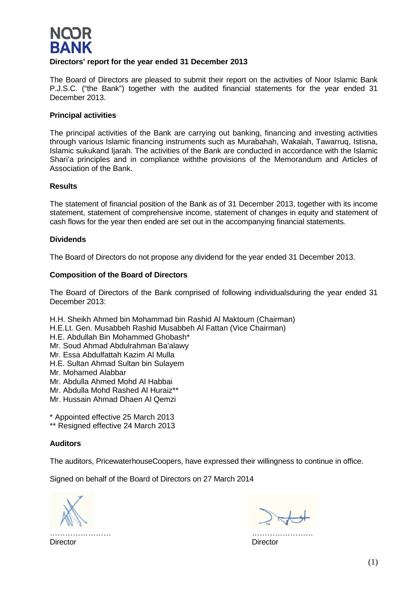

### **Directors' report for the year ended 31 December 2013**

The Board of Directors are pleased to submit their report on the activities of Noor Islamic Bank P.J.S.C. ("the Bank") together with the audited financial statements for the year ended 31 December 2013.

### **Principal activities**

The principal activities of the Bank are carrying out banking, financing and investing activities through various Islamic financing instruments such as Murabahah, Wakalah, Tawarruq, Istisna, Islamic sukukand Ijarah. The activities of the Bank are conducted in accordance with the Islamic Shari'a principles and in compliance withthe provisions of the Memorandum and Articles of Association of the Bank.

### **Results**

The statement of financial position of the Bank as of 31 December 2013, together with its income statement, statement of comprehensive income, statement of changes in equity and statement of cash flows for the year then ended are set out in the accompanying financial statements.

### **Dividends**

The Board of Directors do not propose any dividend for the year ended 31 December 2013.

### **Composition of the Board of Directors**

The Board of Directors of the Bank comprised of following individualsduring the year ended 31 December 2013:

H.H. Sheikh Ahmed bin Mohammad bin Rashid Al Maktoum (Chairman) H.E.Lt. Gen. Musabbeh Rashid Musabbeh Al Fattan (Vice Chairman) H.E. Abdullah Bin Mohammed Ghobash\* Mr. Soud Ahmad Abdulrahman Ba'alawy Mr. Essa Abdulfattah Kazim Al Mulla H.E. Sultan Ahmad Sultan bin Sulayem Mr. Mohamed Alabbar Mr. Abdulla Ahmed Mohd Al Habbai Mr. Abdulla Mohd Rashed Al Huraiz\*\* Mr. Hussain Ahmad Dhaen Al Qemzi

\* Appointed effective 25 March 2013

\*\* Resigned effective 24 March 2013

### **Auditors**

The auditors, PricewaterhouseCoopers, have expressed their willingness to continue in office.

Signed on behalf of the Board of Directors on 27 March 2014

…………………… ……………………

Director Director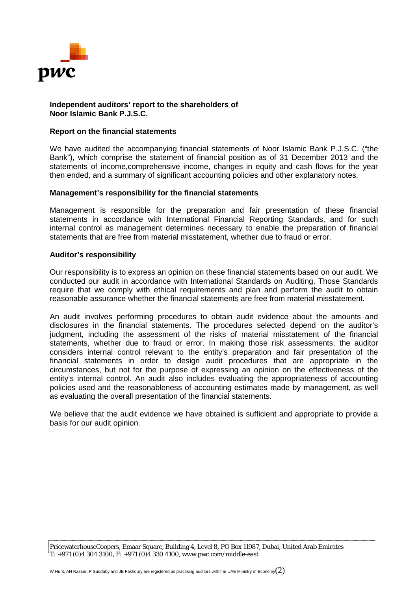

### **Independent auditors' report to the shareholders of Noor Islamic Bank P.J.S.C.**

### **Report on the financial statements**

We have audited the accompanying financial statements of Noor Islamic Bank P.J.S.C. ("the Bank"), which comprise the statement of financial position as of 31 December 2013 and the statements of income,comprehensive income, changes in equity and cash flows for the year then ended, and a summary of significant accounting policies and other explanatory notes.

### **Management's responsibility for the financial statements**

Management is responsible for the preparation and fair presentation of these financial statements in accordance with International Financial Reporting Standards, and for such internal control as management determines necessary to enable the preparation of financial statements that are free from material misstatement, whether due to fraud or error.

### **Auditor's responsibility**

Our responsibility is to express an opinion on these financial statements based on our audit. We conducted our audit in accordance with International Standards on Auditing. Those Standards require that we comply with ethical requirements and plan and perform the audit to obtain reasonable assurance whether the financial statements are free from material misstatement.

An audit involves performing procedures to obtain audit evidence about the amounts and disclosures in the financial statements. The procedures selected depend on the auditor's judgment, including the assessment of the risks of material misstatement of the financial statements, whether due to fraud or error. In making those risk assessments, the auditor considers internal control relevant to the entity's preparation and fair presentation of the financial statements in order to design audit procedures that are appropriate in the circumstances, but not for the purpose of expressing an opinion on the effectiveness of the entity's internal control. An audit also includes evaluating the appropriateness of accounting policies used and the reasonableness of accounting estimates made by management, as well as evaluating the overall presentation of the financial statements.

We believe that the audit evidence we have obtained is sufficient and appropriate to provide a basis for our audit opinion.

PricewaterhouseCoopers, Emaar Square, Building 4, Level 8, PO Box 11987, Dubai, United Arab Emirates *T: +971 (0)4 304 3100, F: +971 (0)4 330 4100,* www.pwc.com/middle-east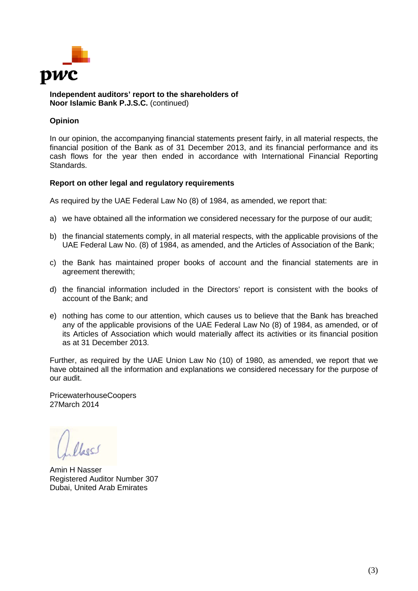

**Independent auditors' report to the shareholders of Noor Islamic Bank P.J.S.C.** (continued)

### **Opinion**

In our opinion, the accompanying financial statements present fairly, in all material respects, the financial position of the Bank as of 31 December 2013, and its financial performance and its cash flows for the year then ended in accordance with International Financial Reporting Standards.

### **Report on other legal and regulatory requirements**

As required by the UAE Federal Law No (8) of 1984, as amended, we report that:

- a) we have obtained all the information we considered necessary for the purpose of our audit;
- b) the financial statements comply, in all material respects, with the applicable provisions of the UAE Federal Law No. (8) of 1984, as amended, and the Articles of Association of the Bank;
- c) the Bank has maintained proper books of account and the financial statements are in agreement therewith;
- d) the financial information included in the Directors' report is consistent with the books of account of the Bank; and
- e) nothing has come to our attention, which causes us to believe that the Bank has breached any of the applicable provisions of the UAE Federal Law No (8) of 1984, as amended, or of its Articles of Association which would materially affect its activities or its financial position as at 31 December 2013.

Further, as required by the UAE Union Law No (10) of 1980, as amended, we report that we have obtained all the information and explanations we considered necessary for the purpose of our audit.

PricewaterhouseCoopers 27March 2014

los

Amin H Nasser Registered Auditor Number 307 Dubai, United Arab Emirates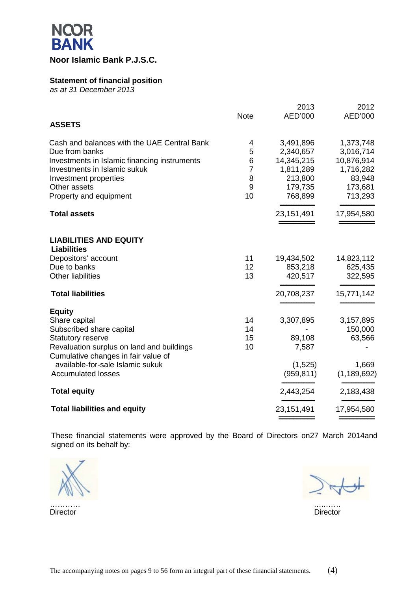

### **Statement of financial position**

*as at 31 December 2013*

|                                              |                | 2013       | 2012          |
|----------------------------------------------|----------------|------------|---------------|
|                                              | <b>Note</b>    | AED'000    | AED'000       |
| <b>ASSETS</b>                                |                |            |               |
| Cash and balances with the UAE Central Bank  | 4              | 3,491,896  | 1,373,748     |
| Due from banks                               | 5              | 2,340,657  | 3,016,714     |
| Investments in Islamic financing instruments | 6              | 14,345,215 | 10,876,914    |
| Investments in Islamic sukuk                 | $\overline{7}$ | 1,811,289  | 1,716,282     |
| Investment properties                        | 8              | 213,800    | 83,948        |
| Other assets                                 | 9              | 179,735    | 173,681       |
| Property and equipment                       | 10             | 768,899    | 713,293       |
| <b>Total assets</b>                          |                | 23,151,491 | 17,954,580    |
|                                              |                |            |               |
| <b>LIABILITIES AND EQUITY</b>                |                |            |               |
| <b>Liabilities</b>                           |                |            |               |
| Depositors' account                          | 11             | 19,434,502 | 14,823,112    |
| Due to banks                                 | 12             | 853,218    | 625,435       |
| <b>Other liabilities</b>                     | 13             | 420,517    | 322,595       |
| <b>Total liabilities</b>                     |                | 20,708,237 | 15,771,142    |
| <b>Equity</b>                                |                |            |               |
| Share capital                                | 14             | 3,307,895  | 3,157,895     |
| Subscribed share capital                     | 14             |            | 150,000       |
| <b>Statutory reserve</b>                     | 15             | 89,108     | 63,566        |
| Revaluation surplus on land and buildings    | 10             | 7,587      |               |
| Cumulative changes in fair value of          |                |            |               |
| available-for-sale Islamic sukuk             |                | (1,525)    | 1,669         |
| <b>Accumulated losses</b>                    |                | (959, 811) | (1, 189, 692) |
| <b>Total equity</b>                          |                | 2,443,254  | 2,183,438     |
| <b>Total liabilities and equity</b>          |                | 23,151,491 | 17,954,580    |
|                                              |                |            |               |

These financial statements were approved by the Board of Directors on27 March 2014and signed on its behalf by:

………… …..……

Director Director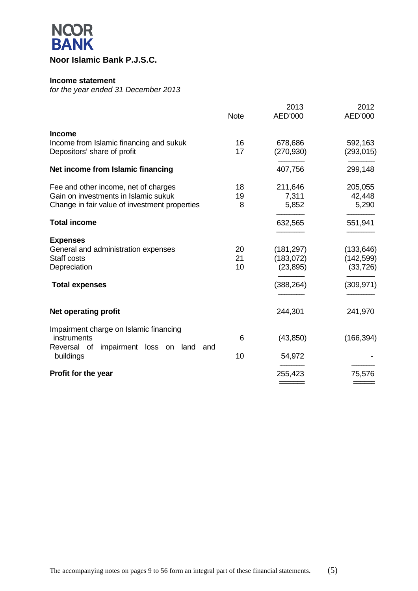

### **Income statement**

*for the year ended 31 December 2013*

|                                                            | <b>Note</b> | 2013<br>AED'000 | 2012<br>AED'000 |
|------------------------------------------------------------|-------------|-----------------|-----------------|
| <b>Income</b>                                              |             |                 |                 |
| Income from Islamic financing and sukuk                    | 16          | 678,686         | 592,163         |
| Depositors' share of profit                                | 17          | (270, 930)      | (293, 015)      |
| Net income from Islamic financing                          |             | 407,756         | 299,148         |
| Fee and other income, net of charges                       | 18          | 211,646         | 205,055         |
| Gain on investments in Islamic sukuk                       | 19          | 7,311           | 42,448          |
| Change in fair value of investment properties              | 8           | 5,852           | 5,290           |
| <b>Total income</b>                                        |             | 632,565         | 551,941         |
| <b>Expenses</b>                                            |             |                 |                 |
| General and administration expenses                        | 20          | (181, 297)      | (133, 646)      |
| Staff costs                                                | 21          | (183, 072)      | (142, 599)      |
| Depreciation                                               | 10          | (23, 895)       | (33, 726)       |
| <b>Total expenses</b>                                      |             | (388, 264)      | (309, 971)      |
|                                                            |             |                 |                 |
| <b>Net operating profit</b>                                |             | 244,301         | 241,970         |
| Impairment charge on Islamic financing                     |             |                 |                 |
| instruments                                                | 6           | (43, 850)       | (166, 394)      |
| Reversal of<br>impairment loss on land<br>and<br>buildings | 10          | 54,972          |                 |
|                                                            |             |                 |                 |
| Profit for the year                                        |             | 255,423         | 75,576          |
|                                                            |             |                 |                 |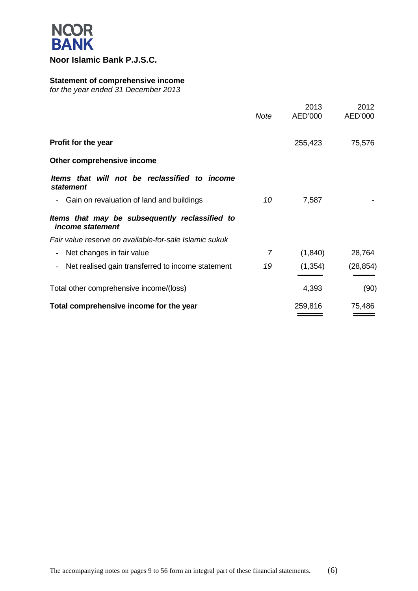

### **Statement of comprehensive income**

*for the year ended 31 December 2013*

|                                                                           | <b>Note</b>    | 2013<br>AED'000 | 2012<br>AED'000 |
|---------------------------------------------------------------------------|----------------|-----------------|-----------------|
| <b>Profit for the year</b>                                                |                | 255,423         | 75,576          |
| Other comprehensive income                                                |                |                 |                 |
| Items that will not be reclassified to income<br><b>statement</b>         |                |                 |                 |
| Gain on revaluation of land and buildings                                 | 10             | 7,587           |                 |
| Items that may be subsequently reclassified to<br><i>income statement</i> |                |                 |                 |
| Fair value reserve on available-for-sale Islamic sukuk                    |                |                 |                 |
| Net changes in fair value                                                 | $\overline{7}$ | (1, 840)        | 28,764          |
| Net realised gain transferred to income statement                         | 19             | (1, 354)        | (28, 854)       |
| Total other comprehensive income/(loss)                                   |                | 4,393           | (90)            |
| Total comprehensive income for the year                                   |                | 259,816         | 75,486          |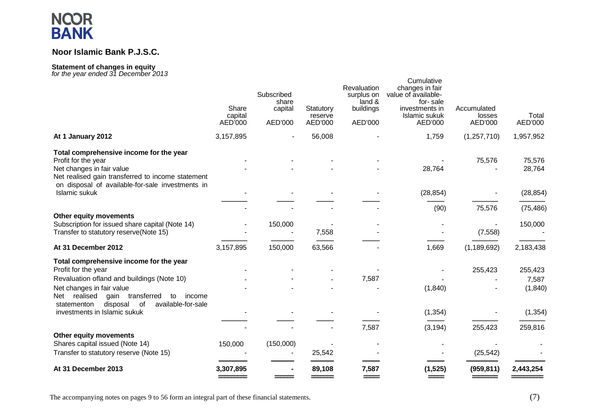### **Noor Islamic Bank P.J.S.C.**

#### **Statement of changes in equity** *for the year ended 31 December 2013*

| or arc year chucu o'r Decerment zo io                                                                                                                                                                | Share              | Subscribed<br>share<br>capital | Statutory          | Revaluation<br>surplus on<br>land &<br>buildings | Cumulative<br>changes in fair<br>value of available-<br>for-sale<br>investments in | Accumulated       |                              |
|------------------------------------------------------------------------------------------------------------------------------------------------------------------------------------------------------|--------------------|--------------------------------|--------------------|--------------------------------------------------|------------------------------------------------------------------------------------|-------------------|------------------------------|
|                                                                                                                                                                                                      | capital<br>AED'000 | AED'000                        | reserve<br>AED'000 | AED'000                                          | Islamic sukuk<br>AED'000                                                           | losses<br>AED'000 | Total<br>AED'000             |
| At 1 January 2012                                                                                                                                                                                    | 3,157,895          |                                | 56,008             |                                                  | 1,759                                                                              | (1, 257, 710)     | 1,957,952                    |
| Total comprehensive income for the year<br>Profit for the year<br>Net changes in fair value<br>Net realised gain transferred to income statement<br>on disposal of available-for-sale investments in |                    |                                |                    |                                                  | 28,764                                                                             | 75,576            | 75,576<br>28,764             |
| Islamic sukuk                                                                                                                                                                                        |                    |                                |                    |                                                  | (28, 854)                                                                          |                   | (28, 854)                    |
|                                                                                                                                                                                                      |                    |                                |                    |                                                  | (90)                                                                               | 75,576            | (75, 486)                    |
| Other equity movements<br>Subscription for issued share capital (Note 14)<br>Transfer to statutory reserve(Note 15)                                                                                  |                    | 150,000                        | 7,558              |                                                  |                                                                                    | (7, 558)          | 150,000                      |
| At 31 December 2012                                                                                                                                                                                  | 3,157,895          | 150,000                        | 63,566             |                                                  | 1,669                                                                              | (1, 189, 692)     | 2,183,438                    |
| Total comprehensive income for the year<br>Profit for the year<br>Revaluation ofland and buildings (Note 10)<br>Net changes in fair value<br>transferred<br>realised<br>gain<br>Net<br>to<br>income  |                    |                                |                    | 7,587                                            | (1, 840)                                                                           | 255,423           | 255,423<br>7,587<br>(1, 840) |
| disposal<br>of<br>available-for-sale<br>statementon<br>investments in Islamic sukuk                                                                                                                  |                    |                                |                    |                                                  | (1, 354)                                                                           |                   | (1, 354)                     |
| Other equity movements<br>Shares capital issued (Note 14)                                                                                                                                            | 150,000            | (150,000)                      |                    | 7,587                                            | (3, 194)                                                                           | 255,423           | 259,816                      |
| Transfer to statutory reserve (Note 15)                                                                                                                                                              |                    |                                | 25,542             |                                                  |                                                                                    | (25, 542)         |                              |
| At 31 December 2013                                                                                                                                                                                  | 3,307,895          |                                | 89,108             | 7,587                                            | (1, 525)                                                                           | (959, 811)        | 2,443,254                    |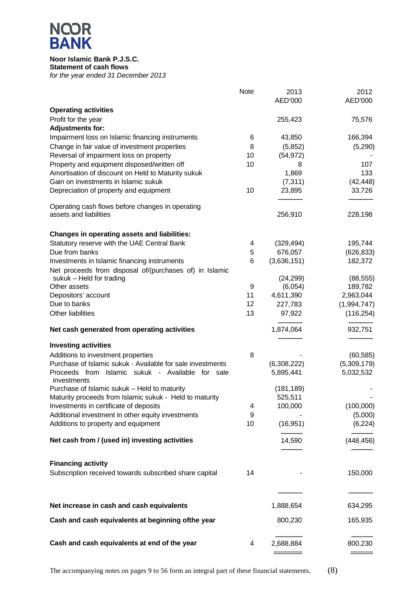# **NCOR<br>BANK**

### **Noor Islamic Bank P.J.S.C. Statement of cash flows** *for the year ended 31 December 2013*

|                                                                 | Note | 2013<br>AED'000 | 2012<br>AED'000 |
|-----------------------------------------------------------------|------|-----------------|-----------------|
|                                                                 |      |                 |                 |
| <b>Operating activities</b>                                     |      |                 |                 |
| Profit for the year<br><b>Adjustments for:</b>                  |      | 255,423         | 75,576          |
| Impairment loss on Islamic financing instruments                | 6    | 43,850          | 166,394         |
| Change in fair value of investment properties                   | 8    | (5,852)         | (5,290)         |
| Reversal of impairment loss on property                         | 10   | (54, 972)       |                 |
| Property and equipment disposed/written off                     | 10   | 8               | 107             |
| Amortisation of discount on Held to Maturity sukuk              |      | 1,869           | 133             |
| Gain on investments in Islamic sukuk                            |      | (7, 311)        | (42, 448)       |
| Depreciation of property and equipment                          | 10   | 23,895          | 33,726          |
| Operating cash flows before changes in operating                |      |                 |                 |
| assets and liabilities                                          |      | 256,910         | 228,198         |
| <b>Changes in operating assets and liabilities:</b>             |      |                 |                 |
| Statutory reserve with the UAE Central Bank                     | 4    | (329, 494)      | 195,744         |
| Due from banks                                                  | 5    | 676,057         | (626, 833)      |
| Investments in Islamic financing instruments                    | 6    | (3,636,151)     | 182,372         |
| Net proceeds from disposal of/(purchases of) in Islamic         |      |                 |                 |
| sukuk – Held for trading                                        |      | (24, 299)       | (88, 555)       |
| Other assets                                                    | 9    | (6,054)         | 189,782         |
| Depositors' account                                             | 11   | 4,611,390       | 2,963,044       |
| Due to banks                                                    | 12   | 227,783         | (1,994,747)     |
| Other liabilities                                               | 13   | 97,922          | (116, 254)      |
| Net cash generated from operating activities                    |      | 1,874,064       | 932,751         |
| <b>Investing activities</b>                                     |      |                 |                 |
| Additions to investment properties                              | 8    |                 | (60, 585)       |
| Purchase of Islamic sukuk - Available for sale investments      |      | (6,308,222)     | (5,309,179)     |
| Proceeds from Islamic sukuk - Available for sale<br>investments |      | 5,895,441       | 5,032,532       |
| Purchase of Islamic sukuk - Held to maturity                    |      | (181, 189)      |                 |
| Maturity proceeds from Islamic sukuk - Held to maturity         |      | 525,511         |                 |
| Investments in certificate of deposits                          | 4    | 100,000         | (100,000)       |
| Additional investment in other equity investments               | 9    |                 | (5,000)         |
| Additions to property and equipment                             | 10   | (16, 951)       | (6, 224)        |
| Net cash from / (used in) investing activities                  |      | 14,590          | (448, 456)      |
| <b>Financing activity</b>                                       |      |                 |                 |
| Subscription received towards subscribed share capital          | 14   |                 | 150,000         |
|                                                                 |      |                 |                 |
|                                                                 |      |                 |                 |
| Net increase in cash and cash equivalents                       |      | 1,888,654       | 634,295         |
| Cash and cash equivalents at beginning ofthe year               |      | 800,230         | 165,935         |
| Cash and cash equivalents at end of the year                    | 4    | 2,688,884       | 800,230         |
|                                                                 |      |                 |                 |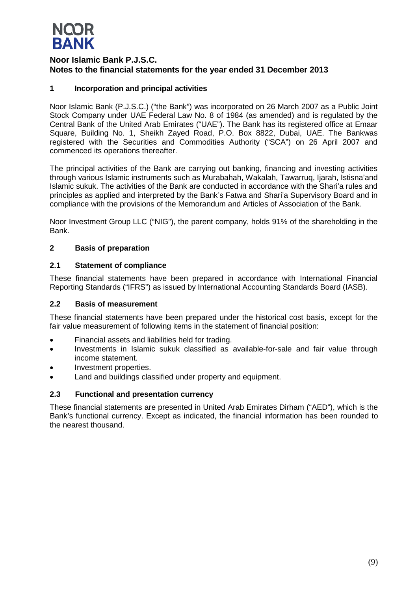

### **1 Incorporation and principal activities**

Noor Islamic Bank (P.J.S.C.) ("the Bank") was incorporated on 26 March 2007 as a Public Joint Stock Company under UAE Federal Law No. 8 of 1984 (as amended) and is regulated by the Central Bank of the United Arab Emirates ("UAE"). The Bank has its registered office at Emaar Square, Building No. 1, Sheikh Zayed Road, P.O. Box 8822, Dubai, UAE. The Bankwas registered with the Securities and Commodities Authority ("SCA") on 26 April 2007 and commenced its operations thereafter.

The principal activities of the Bank are carrying out banking, financing and investing activities through various Islamic instruments such as Murabahah, Wakalah, Tawarruq, Ijarah, Istisna'and Islamic sukuk. The activities of the Bank are conducted in accordance with the Shari'a rules and principles as applied and interpreted by the Bank's Fatwa and Shari'a Supervisory Board and in compliance with the provisions of the Memorandum and Articles of Association of the Bank.

Noor Investment Group LLC ("NIG"), the parent company, holds 91% of the shareholding in the Bank.

### **2 Basis of preparation**

### **2.1 Statement of compliance**

These financial statements have been prepared in accordance with International Financial Reporting Standards ("IFRS") as issued by International Accounting Standards Board (IASB).

### **2.2 Basis of measurement**

These financial statements have been prepared under the historical cost basis, except for the fair value measurement of following items in the statement of financial position:

- Financial assets and liabilities held for trading.
- Investments in Islamic sukuk classified as available-for-sale and fair value through income statement.
- Investment properties.
- Land and buildings classified under property and equipment.

### **2.3 Functional and presentation currency**

These financial statements are presented in United Arab Emirates Dirham ("AED"), which is the Bank's functional currency. Except as indicated, the financial information has been rounded to the nearest thousand.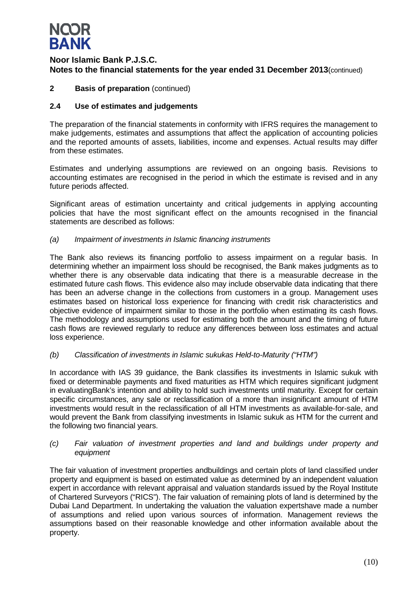

### **2 Basis of preparation** (continued)

### **2.4 Use of estimates and judgements**

The preparation of the financial statements in conformity with IFRS requires the management to make judgements, estimates and assumptions that affect the application of accounting policies and the reported amounts of assets, liabilities, income and expenses. Actual results may differ from these estimates.

Estimates and underlying assumptions are reviewed on an ongoing basis. Revisions to accounting estimates are recognised in the period in which the estimate is revised and in any future periods affected.

Significant areas of estimation uncertainty and critical judgements in applying accounting policies that have the most significant effect on the amounts recognised in the financial statements are described as follows:

### *(a) Impairment of investments in Islamic financing instruments*

The Bank also reviews its financing portfolio to assess impairment on a regular basis. In determining whether an impairment loss should be recognised, the Bank makes judgments as to whether there is any observable data indicating that there is a measurable decrease in the estimated future cash flows. This evidence also may include observable data indicating that there has been an adverse change in the collections from customers in a group. Management uses estimates based on historical loss experience for financing with credit risk characteristics and objective evidence of impairment similar to those in the portfolio when estimating its cash flows. The methodology and assumptions used for estimating both the amount and the timing of future cash flows are reviewed regularly to reduce any differences between loss estimates and actual loss experience.

### *(b) Classification of investments in Islamic sukukas Held-to-Maturity ("HTM")*

In accordance with IAS 39 guidance, the Bank classifies its investments in Islamic sukuk with fixed or determinable payments and fixed maturities as HTM which requires significant judgment in evaluatingBank's intention and ability to hold such investments until maturity. Except for certain specific circumstances, any sale or reclassification of a more than insignificant amount of HTM investments would result in the reclassification of all HTM investments as available-for-sale, and would prevent the Bank from classifying investments in Islamic sukuk as HTM for the current and the following two financial years.

### *(c) Fair valuation of investment properties and land and buildings under property and equipment*

The fair valuation of investment properties andbuildings and certain plots of land classified under property and equipment is based on estimated value as determined by an independent valuation expert in accordance with relevant appraisal and valuation standards issued by the Royal Institute of Chartered Surveyors ("RICS"). The fair valuation of remaining plots of land is determined by the Dubai Land Department. In undertaking the valuation the valuation expertshave made a number of assumptions and relied upon various sources of information. Management reviews the assumptions based on their reasonable knowledge and other information available about the property.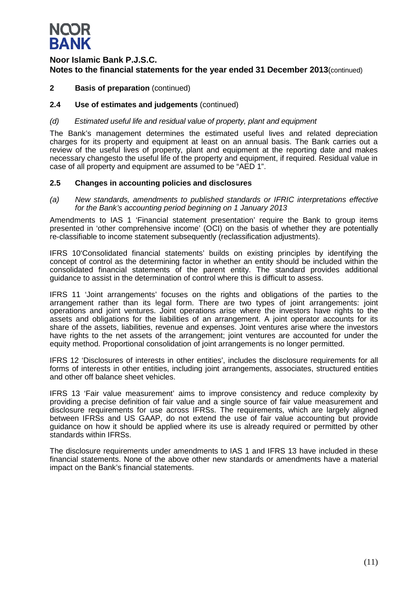

### **2 Basis of preparation** (continued)

### **2.4 Use of estimates and judgements** (continued)

### *(d) Estimated useful life and residual value of property, plant and equipment*

The Bank's management determines the estimated useful lives and related depreciation charges for its property and equipment at least on an annual basis. The Bank carries out a review of the useful lives of property, plant and equipment at the reporting date and makes necessary changesto the useful life of the property and equipment, if required. Residual value in case of all property and equipment are assumed to be "AED 1".

### **2.5 Changes in accounting policies and disclosures**

*(a) New standards, amendments to published standards or IFRIC interpretations effective for the Bank's accounting period beginning on 1 January 2013*

Amendments to IAS 1 'Financial statement presentation' require the Bank to group items presented in 'other comprehensive income' (OCI) on the basis of whether they are potentially re-classifiable to income statement subsequently (reclassification adjustments).

IFRS 10'Consolidated financial statements' builds on existing principles by identifying the concept of control as the determining factor in whether an entity should be included within the consolidated financial statements of the parent entity. The standard provides additional guidance to assist in the determination of control where this is difficult to assess.

IFRS 11 'Joint arrangements' focuses on the rights and obligations of the parties to the arrangement rather than its legal form. There are two types of joint arrangements: joint operations and joint ventures. Joint operations arise where the investors have rights to the assets and obligations for the liabilities of an arrangement. A joint operator accounts for its share of the assets, liabilities, revenue and expenses. Joint ventures arise where the investors have rights to the net assets of the arrangement; joint ventures are accounted for under the equity method. Proportional consolidation of joint arrangements is no longer permitted.

IFRS 12 'Disclosures of interests in other entities', includes the disclosure requirements for all forms of interests in other entities, including joint arrangements, associates, structured entities and other off balance sheet vehicles.

IFRS 13 'Fair value measurement' aims to improve consistency and reduce complexity by providing a precise definition of fair value and a single source of fair value measurement and disclosure requirements for use across IFRSs. The requirements, which are largely aligned between IFRSs and US GAAP, do not extend the use of fair value accounting but provide guidance on how it should be applied where its use is already required or permitted by other standards within IFRSs.

The disclosure requirements under amendments to IAS 1 and IFRS 13 have included in these financial statements. None of the above other new standards or amendments have a material impact on the Bank's financial statements.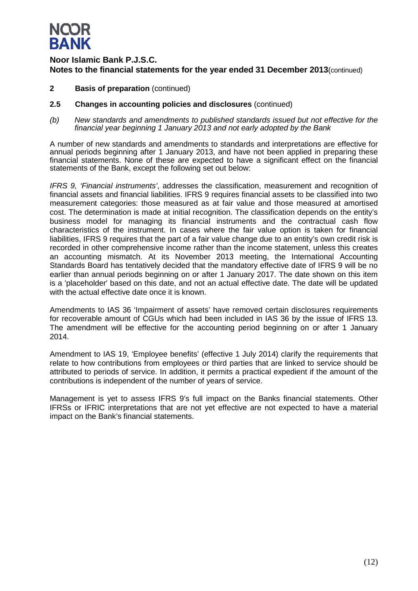

- **2 Basis of preparation** (continued)
- **2.5 Changes in accounting policies and disclosures** (continued)
- *(b) New standards and amendments to published standards issued but not effective for the financial year beginning 1 January 2013 and not early adopted by the Bank*

A number of new standards and amendments to standards and interpretations are effective for annual periods beginning after 1 January 2013, and have not been applied in preparing these financial statements. None of these are expected to have a significant effect on the financial statements of the Bank, except the following set out below:

*IFRS 9, 'Financial instruments'*, addresses the classification, measurement and recognition of financial assets and financial liabilities. IFRS 9 requires financial assets to be classified into two measurement categories: those measured as at fair value and those measured at amortised cost. The determination is made at initial recognition. The classification depends on the entity's business model for managing its financial instruments and the contractual cash flow characteristics of the instrument. In cases where the fair value option is taken for financial liabilities, IFRS 9 requires that the part of a fair value change due to an entity's own credit risk is recorded in other comprehensive income rather than the income statement, unless this creates an accounting mismatch. At its November 2013 meeting, the International Accounting Standards Board has tentatively decided that the mandatory effective date of IFRS 9 will be no earlier than annual periods beginning on or after 1 January 2017. The date shown on this item is a 'placeholder' based on this date, and not an actual effective date. The date will be updated with the actual effective date once it is known.

Amendments to IAS 36 'Impairment of assets' have removed certain disclosures requirements for recoverable amount of CGUs which had been included in IAS 36 by the issue of IFRS 13. The amendment will be effective for the accounting period beginning on or after 1 January 2014.

Amendment to IAS 19, 'Employee benefits' (effective 1 July 2014) clarify the requirements that relate to how contributions from employees or third parties that are linked to service should be attributed to periods of service. In addition, it permits a practical expedient if the amount of the contributions is independent of the number of years of service.

Management is yet to assess IFRS 9's full impact on the Banks financial statements. Other IFRSs or IFRIC interpretations that are not yet effective are not expected to have a material impact on the Bank's financial statements.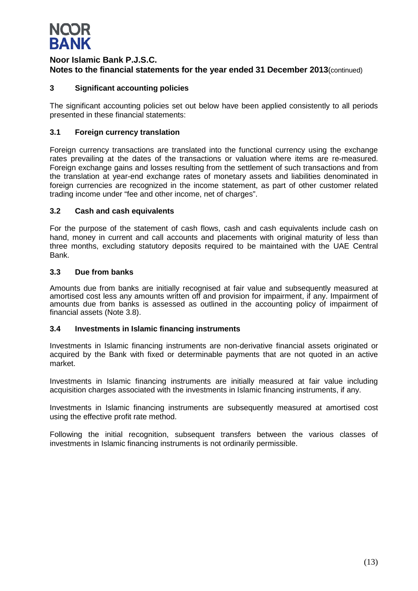

### **3 Significant accounting policies**

The significant accounting policies set out below have been applied consistently to all periods presented in these financial statements:

### **3.1 Foreign currency translation**

Foreign currency transactions are translated into the functional currency using the exchange rates prevailing at the dates of the transactions or valuation where items are re-measured. Foreign exchange gains and losses resulting from the settlement of such transactions and from the translation at year-end exchange rates of monetary assets and liabilities denominated in foreign currencies are recognized in the income statement, as part of other customer related trading income under "fee and other income, net of charges".

### **3.2 Cash and cash equivalents**

For the purpose of the statement of cash flows, cash and cash equivalents include cash on hand, money in current and call accounts and placements with original maturity of less than three months, excluding statutory deposits required to be maintained with the UAE Central Bank.

### **3.3 Due from banks**

Amounts due from banks are initially recognised at fair value and subsequently measured at amortised cost less any amounts written off and provision for impairment, if any. Impairment of amounts due from banks is assessed as outlined in the accounting policy of impairment of financial assets (Note 3.8).

### **3.4 Investments in Islamic financing instruments**

Investments in Islamic financing instruments are non-derivative financial assets originated or acquired by the Bank with fixed or determinable payments that are not quoted in an active market.

Investments in Islamic financing instruments are initially measured at fair value including acquisition charges associated with the investments in Islamic financing instruments, if any.

Investments in Islamic financing instruments are subsequently measured at amortised cost using the effective profit rate method.

Following the initial recognition, subsequent transfers between the various classes of investments in Islamic financing instruments is not ordinarily permissible.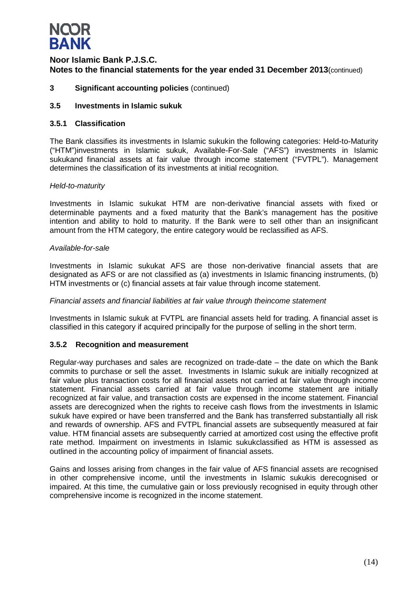

**3 Significant accounting policies** (continued)

### **3.5 Investments in Islamic sukuk**

### **3.5.1 Classification**

The Bank classifies its investments in Islamic sukukin the following categories: Held-to-Maturity ("HTM")investments in Islamic sukuk, Available-For-Sale ("AFS") investments in Islamic sukukand financial assets at fair value through income statement ("FVTPL"). Management determines the classification of its investments at initial recognition.

### *Held-to-maturity*

Investments in Islamic sukukat HTM are non-derivative financial assets with fixed or determinable payments and a fixed maturity that the Bank's management has the positive intention and ability to hold to maturity. If the Bank were to sell other than an insignificant amount from the HTM category, the entire category would be reclassified as AFS.

### *Available-for-sale*

Investments in Islamic sukukat AFS are those non-derivative financial assets that are designated as AFS or are not classified as (a) investments in Islamic financing instruments, (b) HTM investments or (c) financial assets at fair value through income statement.

### *Financial assets and financial liabilities at fair value through theincome statement*

Investments in Islamic sukuk at FVTPL are financial assets held for trading. A financial asset is classified in this category if acquired principally for the purpose of selling in the short term.

### **3.5.2 Recognition and measurement**

Regular-way purchases and sales are recognized on trade-date – the date on which the Bank commits to purchase or sell the asset. Investments in Islamic sukuk are initially recognized at fair value plus transaction costs for all financial assets not carried at fair value through income statement. Financial assets carried at fair value through income statement are initially recognized at fair value, and transaction costs are expensed in the income statement. Financial assets are derecognized when the rights to receive cash flows from the investments in Islamic sukuk have expired or have been transferred and the Bank has transferred substantially all risk and rewards of ownership. AFS and FVTPL financial assets are subsequently measured at fair value. HTM financial assets are subsequently carried at amortized cost using the effective profit rate method. Impairment on investments in Islamic sukukclassified as HTM is assessed as outlined in the accounting policy of impairment of financial assets.

Gains and losses arising from changes in the fair value of AFS financial assets are recognised in other comprehensive income, until the investments in Islamic sukukis derecognised or impaired. At this time, the cumulative gain or loss previously recognised in equity through other comprehensive income is recognized in the income statement.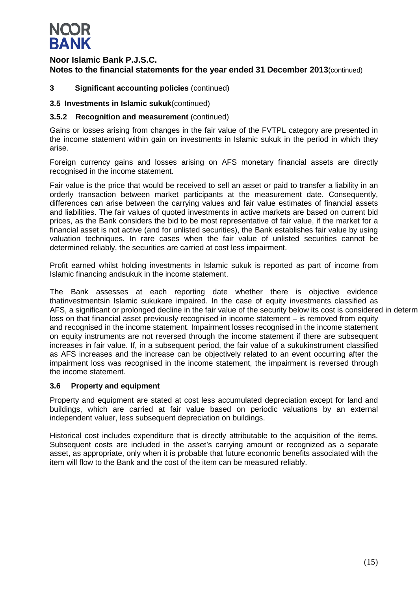

### **3 Significant accounting policies** (continued)

### **3.5 Investments in Islamic sukuk**(continued)

### **3.5.2 Recognition and measurement** (continued)

Gains or losses arising from changes in the fair value of the FVTPL category are presented in the income statement within gain on investments in Islamic sukuk in the period in which they arise.

Foreign currency gains and losses arising on AFS monetary financial assets are directly recognised in the income statement.

Fair value is the price that would be received to sell an asset or paid to transfer a liability in an orderly transaction between market participants at the measurement date. Consequently, differences can arise between the carrying values and fair value estimates of financial assets and liabilities. The fair values of quoted investments in active markets are based on current bid prices, as the Bank considers the bid to be most representative of fair value, if the market for a financial asset is not active (and for unlisted securities), the Bank establishes fair value by using valuation techniques. In rare cases when the fair value of unlisted securities cannot be determined reliably, the securities are carried at cost less impairment.

Profit earned whilst holding investments in Islamic sukuk is reported as part of income from Islamic financing andsukuk in the income statement.

The Bank assesses at each reporting date whether there is objective evidence thatinvestmentsin Islamic sukukare impaired. In the case of equity investments classified as AFS, a significant or prolonged decline in the fair value of the security below its cost is considered in determ loss on that financial asset previously recognised in income statement – is removed from equity and recognised in the income statement. Impairment losses recognised in the income statement on equity instruments are not reversed through the income statement if there are subsequent increases in fair value. If, in a subsequent period, the fair value of a sukukinstrument classified as AFS increases and the increase can be objectively related to an event occurring after the impairment loss was recognised in the income statement, the impairment is reversed through the income statement.

### **3.6 Property and equipment**

Property and equipment are stated at cost less accumulated depreciation except for land and buildings, which are carried at fair value based on periodic valuations by an external independent valuer, less subsequent depreciation on buildings.

Historical cost includes expenditure that is directly attributable to the acquisition of the items. Subsequent costs are included in the asset's carrying amount or recognized as a separate asset, as appropriate, only when it is probable that future economic benefits associated with the item will flow to the Bank and the cost of the item can be measured reliably.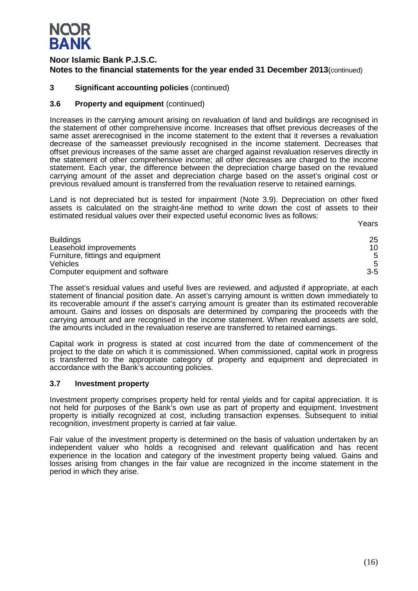# **NQOR BANK**

### **Noor Islamic Bank P.J.S.C. Notes to the financial statements for the year ended 31 December 2013**(continued)

### **3 Significant accounting policies** (continued)

### **3.6 Property and equipment** (continued)

Increases in the carrying amount arising on revaluation of land and buildings are recognised in the statement of other comprehensive income. Increases that offset previous decreases of the same asset arerecognised in the income statement to the extent that it reverses a revaluation decrease of the sameasset previously recognised in the income statement. Decreases that offset previous increases of the same asset are charged against revaluation reserves directly in the statement of other comprehensive income; all other decreases are charged to the income statement. Each year, the difference between the depreciation charge based on the revalued carrying amount of the asset and depreciation charge based on the asset's original cost or previous revalued amount is transferred from the revaluation reserve to retained earnings.

Land is not depreciated but is tested for impairment (Note 3.9). Depreciation on other fixed assets is calculated on the straight-line method to write down the cost of assets to their estimated residual values over their expected useful economic lives as follows:

| <b>Buildings</b>                  | 25    |
|-----------------------------------|-------|
| Leasehold improvements            | 10    |
| Furniture, fittings and equipment | 5     |
| <b>Vehicles</b>                   | 5     |
| Computer equipment and software   | $3-5$ |

The asset's residual values and useful lives are reviewed, and adjusted if appropriate, at each statement of financial position date. An asset's carrying amount is written down immediately to its recoverable amount if the asset's carrying amount is greater than its estimated recoverable amount. Gains and losses on disposals are determined by comparing the proceeds with the carrying amount and are recognised in the income statement. When revalued assets are sold, the amounts included in the revaluation reserve are transferred to retained earnings.

Capital work in progress is stated at cost incurred from the date of commencement of the project to the date on which it is commissioned. When commissioned, capital work in progress is transferred to the appropriate category of property and equipment and depreciated in accordance with the Bank's accounting policies.

### **3.7 Investment property**

Investment property comprises property held for rental yields and for capital appreciation. It is not held for purposes of the Bank's own use as part of property and equipment. Investment property is initially recognized at cost, including transaction expenses. Subsequent to initial recognition, investment property is carried at fair value.

Fair value of the investment property is determined on the basis of valuation undertaken by an independent valuer who holds a recognised and relevant qualification and has recent experience in the location and category of the investment property being valued. Gains and losses arising from changes in the fair value are recognized in the income statement in the period in which they arise.

Years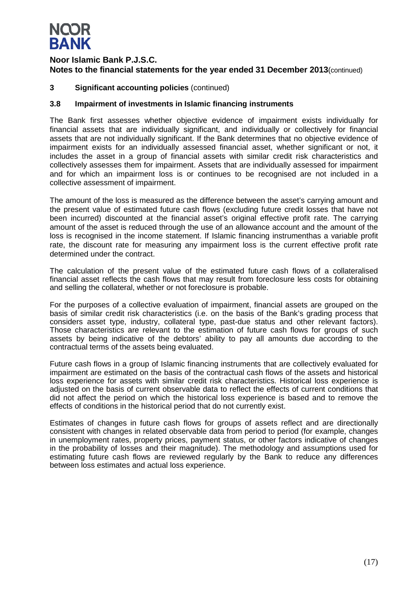# **NQOR BANK**

### **Noor Islamic Bank P.J.S.C. Notes to the financial statements for the year ended 31 December 2013**(continued)

### **3 Significant accounting policies** (continued)

### **3.8 Impairment of investments in Islamic financing instruments**

The Bank first assesses whether objective evidence of impairment exists individually for financial assets that are individually significant, and individually or collectively for financial assets that are not individually significant. If the Bank determines that no objective evidence of impairment exists for an individually assessed financial asset, whether significant or not, it includes the asset in a group of financial assets with similar credit risk characteristics and collectively assesses them for impairment. Assets that are individually assessed for impairment and for which an impairment loss is or continues to be recognised are not included in a collective assessment of impairment.

The amount of the loss is measured as the difference between the asset's carrying amount and the present value of estimated future cash flows (excluding future credit losses that have not been incurred) discounted at the financial asset's original effective profit rate. The carrying amount of the asset is reduced through the use of an allowance account and the amount of the loss is recognised in the income statement. If Islamic financing instrumenthas a variable profit rate, the discount rate for measuring any impairment loss is the current effective profit rate determined under the contract.

The calculation of the present value of the estimated future cash flows of a collateralised financial asset reflects the cash flows that may result from foreclosure less costs for obtaining and selling the collateral, whether or not foreclosure is probable.

For the purposes of a collective evaluation of impairment, financial assets are grouped on the basis of similar credit risk characteristics (i.e. on the basis of the Bank's grading process that considers asset type, industry, collateral type, past-due status and other relevant factors). Those characteristics are relevant to the estimation of future cash flows for groups of such assets by being indicative of the debtors' ability to pay all amounts due according to the contractual terms of the assets being evaluated.

Future cash flows in a group of Islamic financing instruments that are collectively evaluated for impairment are estimated on the basis of the contractual cash flows of the assets and historical loss experience for assets with similar credit risk characteristics. Historical loss experience is adjusted on the basis of current observable data to reflect the effects of current conditions that did not affect the period on which the historical loss experience is based and to remove the effects of conditions in the historical period that do not currently exist.

Estimates of changes in future cash flows for groups of assets reflect and are directionally consistent with changes in related observable data from period to period (for example, changes in unemployment rates, property prices, payment status, or other factors indicative of changes in the probability of losses and their magnitude). The methodology and assumptions used for estimating future cash flows are reviewed regularly by the Bank to reduce any differences between loss estimates and actual loss experience.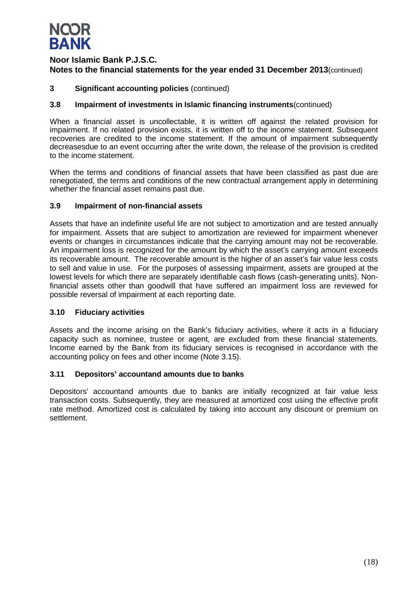

### **3 Significant accounting policies** (continued)

### **3.8 Impairment of investments in Islamic financing instruments**(continued)

When a financial asset is uncollectable, it is written off against the related provision for impairment. If no related provision exists, it is written off to the income statement. Subsequent recoveries are credited to the income statement. If the amount of impairment subsequently decreasesdue to an event occurring after the write down, the release of the provision is credited to the income statement.

When the terms and conditions of financial assets that have been classified as past due are renegotiated, the terms and conditions of the new contractual arrangement apply in determining whether the financial asset remains past due.

### **3.9 Impairment of non-financial assets**

Assets that have an indefinite useful life are not subject to amortization and are tested annually for impairment. Assets that are subject to amortization are reviewed for impairment whenever events or changes in circumstances indicate that the carrying amount may not be recoverable. An impairment loss is recognized for the amount by which the asset's carrying amount exceeds its recoverable amount. The recoverable amount is the higher of an asset's fair value less costs to sell and value in use. For the purposes of assessing impairment, assets are grouped at the lowest levels for which there are separately identifiable cash flows (cash-generating units). Nonfinancial assets other than goodwill that have suffered an impairment loss are reviewed for possible reversal of impairment at each reporting date.

### **3.10 Fiduciary activities**

Assets and the income arising on the Bank's fiduciary activities, where it acts in a fiduciary capacity such as nominee, trustee or agent, are excluded from these financial statements. Income earned by the Bank from its fiduciary services is recognised in accordance with the accounting policy on fees and other income (Note 3.15).

### **3.11 Depositors' accountand amounts due to banks**

Depositors' accountand amounts due to banks are initially recognized at fair value less transaction costs. Subsequently, they are measured at amortized cost using the effective profit rate method. Amortized cost is calculated by taking into account any discount or premium on settlement.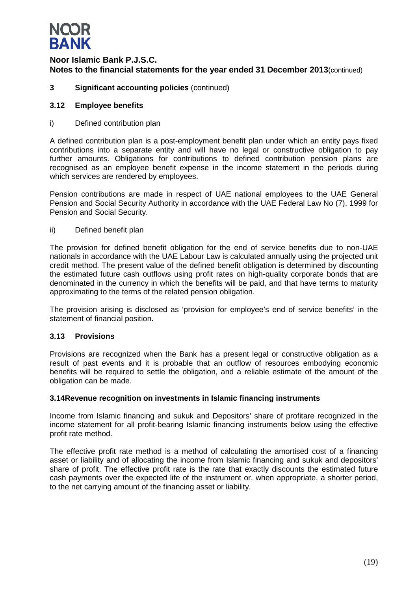

### **3 Significant accounting policies** (continued)

### **3.12 Employee benefits**

i) Defined contribution plan

A defined contribution plan is a post-employment benefit plan under which an entity pays fixed contributions into a separate entity and will have no legal or constructive obligation to pay further amounts. Obligations for contributions to defined contribution pension plans are recognised as an employee benefit expense in the income statement in the periods during which services are rendered by employees.

Pension contributions are made in respect of UAE national employees to the UAE General Pension and Social Security Authority in accordance with the UAE Federal Law No (7), 1999 for Pension and Social Security.

ii) Defined benefit plan

The provision for defined benefit obligation for the end of service benefits due to non-UAE nationals in accordance with the UAE Labour Law is calculated annually using the projected unit credit method. The present value of the defined benefit obligation is determined by discounting the estimated future cash outflows using profit rates on high-quality corporate bonds that are denominated in the currency in which the benefits will be paid, and that have terms to maturity approximating to the terms of the related pension obligation.

The provision arising is disclosed as 'provision for employee's end of service benefits' in the statement of financial position.

### **3.13 Provisions**

Provisions are recognized when the Bank has a present legal or constructive obligation as a result of past events and it is probable that an outflow of resources embodying economic benefits will be required to settle the obligation, and a reliable estimate of the amount of the obligation can be made.

### **3.14Revenue recognition on investments in Islamic financing instruments**

Income from Islamic financing and sukuk and Depositors' share of profitare recognized in the income statement for all profit-bearing Islamic financing instruments below using the effective profit rate method.

The effective profit rate method is a method of calculating the amortised cost of a financing asset or liability and of allocating the income from Islamic financing and sukuk and depositors' share of profit. The effective profit rate is the rate that exactly discounts the estimated future cash payments over the expected life of the instrument or, when appropriate, a shorter period, to the net carrying amount of the financing asset or liability.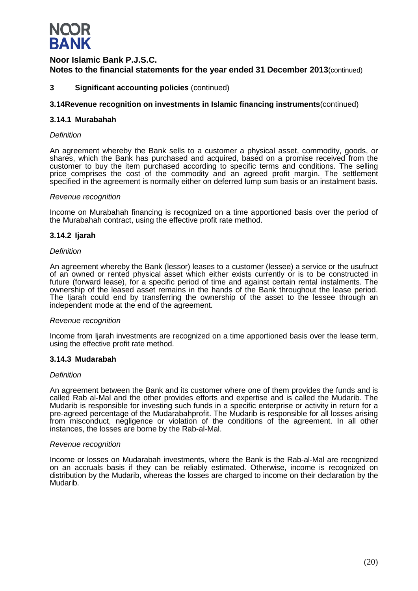

### **3 Significant accounting policies** (continued)

### **3.14Revenue recognition on investments in Islamic financing instruments**(continued)

### **3.14.1 Murabahah**

### *Definition*

An agreement whereby the Bank sells to a customer a physical asset, commodity, goods, or shares, which the Bank has purchased and acquired, based on a promise received from the customer to buy the item purchased according to specific terms and conditions. The selling price comprises the cost of the commodity and an agreed profit margin. The settlement specified in the agreement is normally either on deferred lump sum basis or an instalment basis.

#### *Revenue recognition*

Income on Murabahah financing is recognized on a time apportioned basis over the period of the Murabahah contract, using the effective profit rate method.

### **3.14.2 Ijarah**

### *Definition*

An agreement whereby the Bank (lessor) leases to a customer (lessee) a service or the usufruct of an owned or rented physical asset which either exists currently or is to be constructed in future (forward lease), for a specific period of time and against certain rental instalments. The ownership of the leased asset remains in the hands of the Bank throughout the lease period. The Ijarah could end by transferring the ownership of the asset to the lessee through an independent mode at the end of the agreement.

### *Revenue recognition*

Income from Ijarah investments are recognized on a time apportioned basis over the lease term, using the effective profit rate method.

### **3.14.3 Mudarabah**

### *Definition*

An agreement between the Bank and its customer where one of them provides the funds and is called Rab al-Mal and the other provides efforts and expertise and is called the Mudarib. The Mudarib is responsible for investing such funds in a specific enterprise or activity in return for a pre-agreed percentage of the Mudarabahprofit. The Mudarib is responsible for all losses arising from misconduct, negligence or violation of the conditions of the agreement. In all other instances, the losses are borne by the Rab-al-Mal.

### *Revenue recognition*

Income or losses on Mudarabah investments, where the Bank is the Rab-al-Mal are recognized on an accruals basis if they can be reliably estimated. Otherwise, income is recognized on distribution by the Mudarib, whereas the losses are charged to income on their declaration by the Mudarib.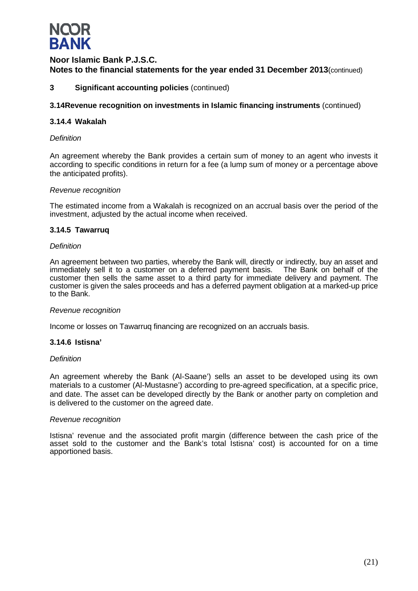

### **3 Significant accounting policies** (continued)

### **3.14Revenue recognition on investments in Islamic financing instruments** (continued)

### **3.14.4 Wakalah**

### *Definition*

An agreement whereby the Bank provides a certain sum of money to an agent who invests it according to specific conditions in return for a fee (a lump sum of money or a percentage above the anticipated profits).

### *Revenue recognition*

The estimated income from a Wakalah is recognized on an accrual basis over the period of the investment, adjusted by the actual income when received.

### **3.14.5 Tawarruq**

### *Definition*

An agreement between two parties, whereby the Bank will, directly or indirectly, buy an asset and immediately sell it to a customer on a deferred payment basis. The Bank on behalf of the immediately sell it to a customer on a deferred payment basis. customer then sells the same asset to a third party for immediate delivery and payment. The customer is given the sales proceeds and has a deferred payment obligation at a marked-up price to the Bank.

### *Revenue recognition*

Income or losses on Tawarruq financing are recognized on an accruals basis.

### **3.14.6 Istisna'**

### *Definition*

An agreement whereby the Bank (Al-Saane') sells an asset to be developed using its own materials to a customer (Al-Mustasne') according to pre-agreed specification, at a specific price, and date. The asset can be developed directly by the Bank or another party on completion and is delivered to the customer on the agreed date.

### *Revenue recognition*

Istisna' revenue and the associated profit margin (difference between the cash price of the asset sold to the customer and the Bank's total Istisna' cost) is accounted for on a time apportioned basis.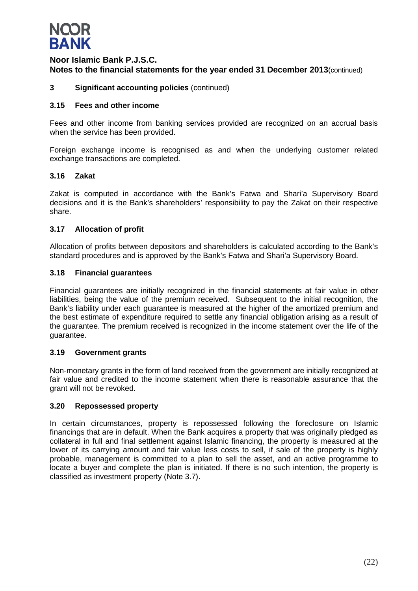

### **3 Significant accounting policies** (continued)

### **3.15 Fees and other income**

Fees and other income from banking services provided are recognized on an accrual basis when the service has been provided.

Foreign exchange income is recognised as and when the underlying customer related exchange transactions are completed.

### **3.16 Zakat**

Zakat is computed in accordance with the Bank's Fatwa and Shari'a Supervisory Board decisions and it is the Bank's shareholders' responsibility to pay the Zakat on their respective share.

### **3.17 Allocation of profit**

Allocation of profits between depositors and shareholders is calculated according to the Bank's standard procedures and is approved by the Bank's Fatwa and Shari'a Supervisory Board.

### **3.18 Financial guarantees**

Financial guarantees are initially recognized in the financial statements at fair value in other liabilities, being the value of the premium received. Subsequent to the initial recognition, the Bank's liability under each guarantee is measured at the higher of the amortized premium and the best estimate of expenditure required to settle any financial obligation arising as a result of the guarantee. The premium received is recognized in the income statement over the life of the guarantee.

### **3.19 Government grants**

Non-monetary grants in the form of land received from the government are initially recognized at fair value and credited to the income statement when there is reasonable assurance that the grant will not be revoked.

### **3.20 Repossessed property**

In certain circumstances, property is repossessed following the foreclosure on Islamic financings that are in default. When the Bank acquires a property that was originally pledged as collateral in full and final settlement against Islamic financing, the property is measured at the lower of its carrying amount and fair value less costs to sell, if sale of the property is highly probable, management is committed to a plan to sell the asset, and an active programme to locate a buyer and complete the plan is initiated. If there is no such intention, the property is classified as investment property (Note 3.7).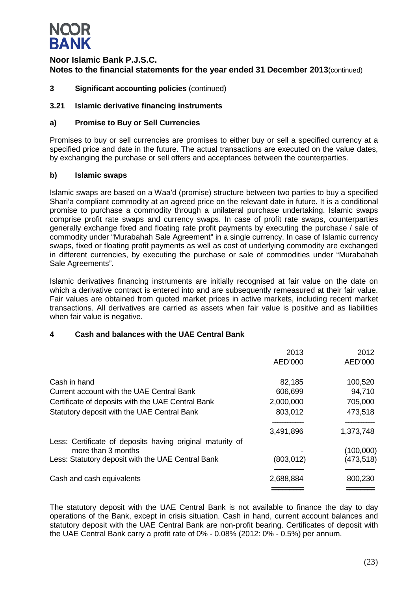

**3 Significant accounting policies** (continued)

### **3.21 Islamic derivative financing instruments**

### **a) Promise to Buy or Sell Currencies**

Promises to buy or sell currencies are promises to either buy or sell a specified currency at a specified price and date in the future. The actual transactions are executed on the value dates, by exchanging the purchase or sell offers and acceptances between the counterparties.

### **b) Islamic swaps**

Islamic swaps are based on a Waa'd (promise) structure between two parties to buy a specified Shari'a compliant commodity at an agreed price on the relevant date in future. It is a conditional promise to purchase a commodity through a unilateral purchase undertaking. Islamic swaps comprise profit rate swaps and currency swaps. In case of profit rate swaps, counterparties generally exchange fixed and floating rate profit payments by executing the purchase / sale of commodity under "Murabahah Sale Agreement" in a single currency. In case of Islamic currency swaps, fixed or floating profit payments as well as cost of underlying commodity are exchanged in different currencies, by executing the purchase or sale of commodities under "Murabahah Sale Agreements".

Islamic derivatives financing instruments are initially recognised at fair value on the date on which a derivative contract is entered into and are subsequently remeasured at their fair value. Fair values are obtained from quoted market prices in active markets, including recent market transactions. All derivatives are carried as assets when fair value is positive and as liabilities when fair value is negative.

### **4 Cash and balances with the UAE Central Bank**

|                                                           | 2013       | 2012      |
|-----------------------------------------------------------|------------|-----------|
|                                                           | AED'000    | AED'000   |
| Cash in hand                                              | 82,185     | 100,520   |
| Current account with the UAE Central Bank                 | 606,699    | 94,710    |
| Certificate of deposits with the UAE Central Bank         | 2,000,000  | 705,000   |
| Statutory deposit with the UAE Central Bank               | 803,012    | 473,518   |
|                                                           |            |           |
|                                                           | 3,491,896  | 1,373,748 |
| Less: Certificate of deposits having original maturity of |            |           |
| more than 3 months                                        |            | (100,000) |
| Less: Statutory deposit with the UAE Central Bank         | (803, 012) | (473,518) |
| Cash and cash equivalents                                 | 2,688,884  | 800,230   |
|                                                           |            |           |

The statutory deposit with the UAE Central Bank is not available to finance the day to day operations of the Bank, except in crisis situation. Cash in hand, current account balances and statutory deposit with the UAE Central Bank are non-profit bearing. Certificates of deposit with the UAE Central Bank carry a profit rate of 0% - 0.08% (2012: 0% - 0.5%) per annum.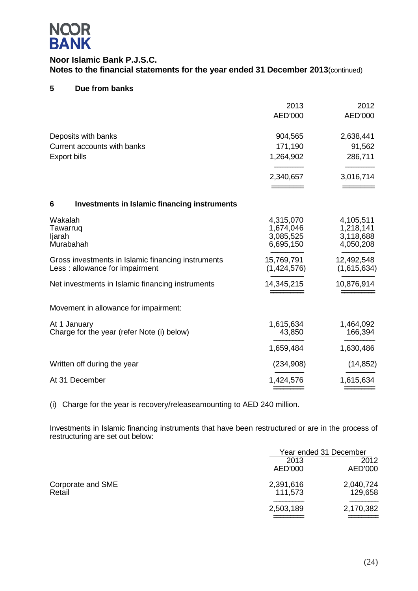

### **5 Due from banks**

|                                                                                      | 2013<br>AED'000                                  | 2012<br>AED'000                                  |
|--------------------------------------------------------------------------------------|--------------------------------------------------|--------------------------------------------------|
| Deposits with banks<br>Current accounts with banks<br><b>Export bills</b>            | 904,565<br>171,190<br>1,264,902                  | 2,638,441<br>91,562<br>286,711                   |
|                                                                                      | 2,340,657                                        | 3,016,714                                        |
| 6<br><b>Investments in Islamic financing instruments</b>                             |                                                  |                                                  |
| Wakalah<br>Tawarruq<br>ljarah<br>Murabahah                                           | 4,315,070<br>1,674,046<br>3,085,525<br>6,695,150 | 4,105,511<br>1,218,141<br>3,118,688<br>4,050,208 |
| Gross investments in Islamic financing instruments<br>Less: allowance for impairment | 15,769,791<br>(1,424,576)                        | 12,492,548<br>(1,615,634)                        |
| Net investments in Islamic financing instruments                                     | 14,345,215                                       | 10,876,914                                       |
| Movement in allowance for impairment:                                                |                                                  |                                                  |
| At 1 January<br>Charge for the year (refer Note (i) below)                           | 1,615,634<br>43,850                              | 1,464,092<br>166,394                             |
|                                                                                      | 1,659,484                                        | 1,630,486                                        |
| Written off during the year                                                          | (234, 908)                                       | (14, 852)                                        |
| At 31 December                                                                       | 1,424,576                                        | 1,615,634                                        |

(i) Charge for the year is recovery/releaseamounting to AED 240 million.

Investments in Islamic financing instruments that have been restructured or are in the process of restructuring are set out below:

|                             |                      | Year ended 31 December |  |
|-----------------------------|----------------------|------------------------|--|
|                             | 2013<br>AED'000      | 2012<br>AED'000        |  |
| Corporate and SME<br>Retail | 2,391,616<br>111,573 | 2,040,724<br>129,658   |  |
|                             | 2,503,189            | 2,170,382              |  |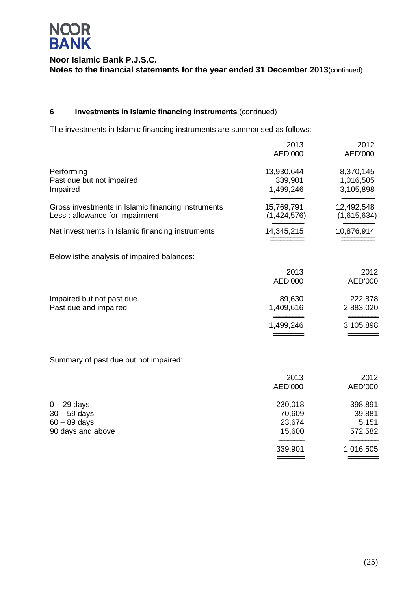

### **6 Investments in Islamic financing instruments** (continued)

The investments in Islamic financing instruments are summarised as follows:

|                                                                                      | 2013<br>AED'000                       | 2012<br>AED'000                       |
|--------------------------------------------------------------------------------------|---------------------------------------|---------------------------------------|
| Performing<br>Past due but not impaired<br>Impaired                                  | 13,930,644<br>339,901<br>1,499,246    | 8,370,145<br>1,016,505<br>3,105,898   |
| Gross investments in Islamic financing instruments<br>Less: allowance for impairment | 15,769,791<br>(1,424,576)             | 12,492,548<br>(1,615,634)             |
| Net investments in Islamic financing instruments                                     | 14,345,215                            | 10,876,914                            |
| Below isthe analysis of impaired balances:                                           |                                       |                                       |
|                                                                                      | 2013<br>AED'000                       | 2012<br>AED'000                       |
| Impaired but not past due<br>Past due and impaired                                   | 89,630<br>1,409,616                   | 222,878<br>2,883,020                  |
|                                                                                      | 1,499,246                             | 3,105,898                             |
| Summary of past due but not impaired:                                                |                                       |                                       |
|                                                                                      | 2013<br>AED'000                       | 2012<br>AED'000                       |
| $0 - 29$ days<br>$30 - 59$ days<br>$60 - 89$ days<br>90 days and above               | 230,018<br>70,609<br>23,674<br>15,600 | 398,891<br>39,881<br>5,151<br>572,582 |
|                                                                                      | 339,901                               | 1,016,505                             |
|                                                                                      |                                       |                                       |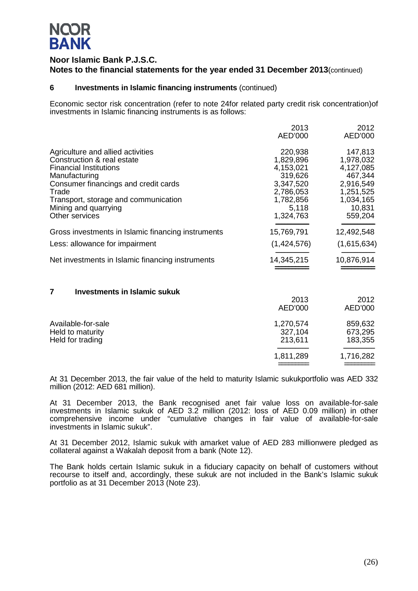# **NQOR BANK**

### **Noor Islamic Bank P.J.S.C. Notes to the financial statements for the year ended 31 December 2013**(continued)

### **6 Investments in Islamic financing instruments** (continued)

Economic sector risk concentration (refer to note 24for related party credit risk concentration)of investments in Islamic financing instruments is as follows:

|                                                    | 2013        | 2012        |
|----------------------------------------------------|-------------|-------------|
|                                                    | AED'000     | AED'000     |
| Agriculture and allied activities                  | 220,938     | 147,813     |
| Construction & real estate                         | 1,829,896   | 1,978,032   |
| <b>Financial Institutions</b>                      | 4,153,021   | 4,127,085   |
| Manufacturing                                      | 319,626     | 467,344     |
| Consumer financings and credit cards               | 3,347,520   | 2,916,549   |
| Trade                                              | 2,786,053   | 1,251,525   |
| Transport, storage and communication               | 1,782,856   | 1,034,165   |
| Mining and quarrying                               | 5,118       | 10,831      |
| Other services                                     | 1,324,763   | 559,204     |
| Gross investments in Islamic financing instruments | 15,769,791  | 12,492,548  |
| Less: allowance for impairment                     | (1,424,576) | (1,615,634) |
| Net investments in Islamic financing instruments   | 14,345,215  | 10,876,914  |
|                                                    |             |             |

### **7 Investments in Islamic sukuk**

|                                                            | 2013<br>AED'000                 | 2012<br>AED'000               |
|------------------------------------------------------------|---------------------------------|-------------------------------|
| Available-for-sale<br>Held to maturity<br>Held for trading | 1,270,574<br>327,104<br>213,611 | 859,632<br>673,295<br>183,355 |
|                                                            | 1,811,289                       | 1,716,282                     |

At 31 December 2013, the fair value of the held to maturity Islamic sukukportfolio was AED 332 million (2012: AED 681 million).

At 31 December 2013, the Bank recognised anet fair value loss on available-for-sale investments in Islamic sukuk of AED 3.2 million (2012: loss of AED 0.09 million) in other comprehensive income under "cumulative changes in fair value of available-for-sale investments in Islamic sukuk".

At 31 December 2012, Islamic sukuk with amarket value of AED 283 millionwere pledged as collateral against a Wakalah deposit from a bank (Note 12).

The Bank holds certain Islamic sukuk in a fiduciary capacity on behalf of customers without recourse to itself and, accordingly, these sukuk are not included in the Bank's Islamic sukuk portfolio as at 31 December 2013 (Note 23).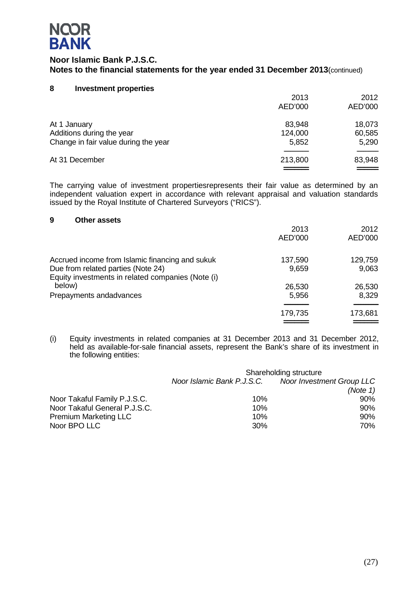

### **8 Investment properties**

|                                                                                   | 2013<br>AED'000            | 2012<br>AED'000           |
|-----------------------------------------------------------------------------------|----------------------------|---------------------------|
| At 1 January<br>Additions during the year<br>Change in fair value during the year | 83,948<br>124,000<br>5,852 | 18,073<br>60,585<br>5,290 |
| At 31 December                                                                    | 213,800                    | 83,948                    |

The carrying value of investment propertiesrepresents their fair value as determined by an independent valuation expert in accordance with relevant appraisal and valuation standards issued by the Royal Institute of Chartered Surveyors ("RICS").

### **9 Other assets**

|                                                                                                                                            | 2013<br>AED'000  | 2012<br>AED'000  |
|--------------------------------------------------------------------------------------------------------------------------------------------|------------------|------------------|
| Accrued income from Islamic financing and sukuk<br>Due from related parties (Note 24)<br>Equity investments in related companies (Note (i) | 137,590<br>9,659 | 129,759<br>9,063 |
| below)                                                                                                                                     | 26,530           | 26,530           |
| Prepayments andadvances                                                                                                                    | 5,956            | 8,329            |
|                                                                                                                                            | 179,735          | 173,681          |
|                                                                                                                                            |                  |                  |

(i) Equity investments in related companies at 31 December 2013 and 31 December 2012, held as available-for-sale financial assets, represent the Bank's share of its investment in the following entities:

|                               | Shareholding structure     |                                  |  |
|-------------------------------|----------------------------|----------------------------------|--|
|                               | Noor Islamic Bank P.J.S.C. | <b>Noor Investment Group LLC</b> |  |
|                               |                            | (Note 1)                         |  |
| Noor Takaful Family P.J.S.C.  | 10%                        | 90%                              |  |
| Noor Takaful General P.J.S.C. | 10%                        | $90\%$                           |  |
| <b>Premium Marketing LLC</b>  | 10%                        | $90\%$                           |  |
| Noor BPO LLC                  | 30%                        | 70%                              |  |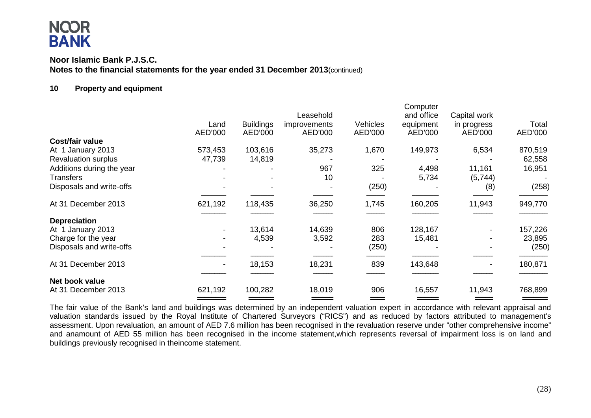### **Noor Islamic Bank P.J.S.C. Notes to the financial statements for the year ended 31 December 2013**(continued)

### **10 Property and equipment**

|                            |         |                  | Leasehold    |          | Computer<br>and office | Capital work |         |
|----------------------------|---------|------------------|--------------|----------|------------------------|--------------|---------|
|                            | Land    | <b>Buildings</b> | improvements | Vehicles | equipment              | in progress  | Total   |
|                            | AED'000 | AED'000          | AED'000      | AED'000  | AED'000                | AED'000      | AED'000 |
| <b>Cost/fair value</b>     |         |                  |              |          |                        |              |         |
| At 1 January 2013          | 573,453 | 103,616          | 35,273       | 1,670    | 149,973                | 6,534        | 870,519 |
| <b>Revaluation surplus</b> | 47,739  | 14,819           |              |          |                        |              | 62,558  |
| Additions during the year  |         |                  | 967          | 325      | 4,498                  | 11,161       | 16,951  |
| Transfers                  |         |                  | 10           |          | 5,734                  | (5,744)      |         |
| Disposals and write-offs   |         |                  |              | (250)    |                        | (8)          | (258)   |
| At 31 December 2013        | 621,192 | 118,435          | 36,250       | 1,745    | 160,205                | 11,943       | 949,770 |
| <b>Depreciation</b>        |         |                  |              |          |                        |              |         |
| At 1 January 2013          |         | 13,614           | 14,639       | 806      | 128,167                |              | 157,226 |
| Charge for the year        |         | 4,539            | 3,592        | 283      | 15,481                 |              | 23,895  |
| Disposals and write-offs   |         |                  |              | (250)    |                        |              | (250)   |
|                            |         |                  |              |          |                        |              |         |
| At 31 December 2013        |         | 18,153           | 18,231       | 839      | 143,648                |              | 180,871 |
| Net book value             |         |                  |              |          |                        |              |         |
| At 31 December 2013        | 621,192 | 100,282          | 18,019       | 906      | 16,557                 | 11,943       | 768,899 |
|                            |         |                  |              |          |                        |              |         |

The fair value of the Bank's land and buildings was determined by an independent valuation expert in accordance with relevant appraisal and valuation standards issued by the Royal Institute of Chartered Surveyors ("RICS") and as reduced by factors attributed to management's assessment. Upon revaluation, an amount of AED 7.6 million has been recognised in the revaluation reserve under "other comprehensive income" and anamount of AED 55 million has been recognised in the income statement,which represents reversal of impairment loss is on land and buildings previously recognised in theincome statement.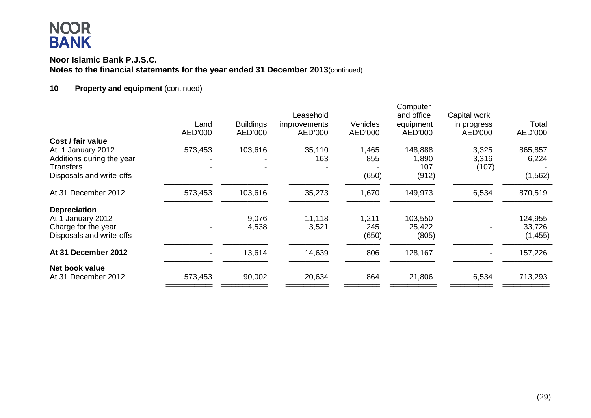### **Noor Islamic Bank P.J.S.C. Notes to the financial statements for the year ended 31 December 2013**(continued)

### **10 Property and equipment** (continued)

|                           | Land    | <b>Buildings</b> | Leasehold<br><i>improvements</i> | <b>Vehicles</b> | Computer<br>and office<br>equipment | Capital work<br>in progress | Total    |
|---------------------------|---------|------------------|----------------------------------|-----------------|-------------------------------------|-----------------------------|----------|
|                           | AED'000 | AED'000          | AED'000                          | AED'000         | AED'000                             | AED'000                     | AED'000  |
| Cost / fair value         |         |                  |                                  |                 |                                     |                             |          |
| At 1 January 2012         | 573,453 | 103,616          | 35,110                           | 1,465           | 148,888                             | 3,325                       | 865,857  |
| Additions during the year |         |                  | 163                              | 855             | 1,890                               | 3,316                       | 6,224    |
| <b>Transfers</b>          |         |                  |                                  |                 | 107                                 | (107)                       |          |
| Disposals and write-offs  |         |                  |                                  | (650)           | (912)                               |                             | (1, 562) |
| At 31 December 2012       | 573,453 | 103,616          | 35,273                           | 1,670           | 149,973                             | 6,534                       | 870,519  |
| <b>Depreciation</b>       |         |                  |                                  |                 |                                     |                             |          |
| At 1 January 2012         |         | 9,076            | 11,118                           | 1,211           | 103,550                             |                             | 124,955  |
| Charge for the year       |         | 4,538            | 3,521                            | 245             | 25,422                              |                             | 33,726   |
| Disposals and write-offs  |         |                  |                                  | (650)           | (805)                               |                             | (1, 455) |
| At 31 December 2012       |         | 13,614           | 14,639                           | 806             | 128,167                             |                             | 157,226  |
| Net book value            |         |                  |                                  |                 |                                     |                             |          |
| At 31 December 2012       | 573,453 | 90,002           | 20,634                           | 864             | 21,806                              | 6,534                       | 713,293  |
|                           |         |                  |                                  |                 |                                     |                             |          |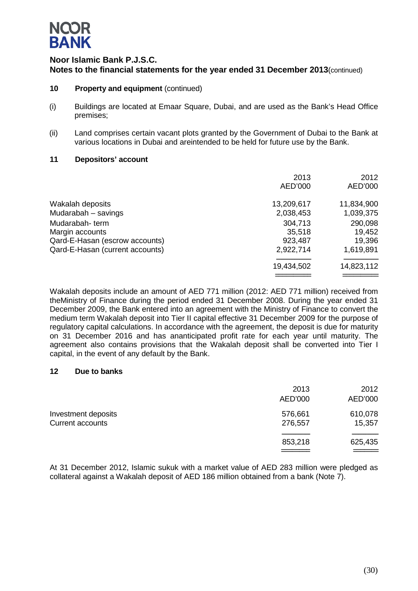

- **10 Property and equipment** (continued)
- (i) Buildings are located at Emaar Square, Dubai, and are used as the Bank's Head Office premises;
- (ii) Land comprises certain vacant plots granted by the Government of Dubai to the Bank at various locations in Dubai and areintended to be held for future use by the Bank.

### **11 Depositors' account**

|                                 | 2013<br>AED'000 | 2012<br>AED'000 |
|---------------------------------|-----------------|-----------------|
| Wakalah deposits                | 13,209,617      | 11,834,900      |
| Mudarabah - savings             | 2,038,453       | 1,039,375       |
| Mudarabah-term                  | 304,713         | 290,098         |
| Margin accounts                 | 35,518          | 19,452          |
| Qard-E-Hasan (escrow accounts)  | 923,487         | 19,396          |
| Qard-E-Hasan (current accounts) | 2,922,714       | 1,619,891       |
|                                 | 19,434,502      | 14,823,112      |
|                                 |                 |                 |

Wakalah deposits include an amount of AED 771 million (2012: AED 771 million) received from theMinistry of Finance during the period ended 31 December 2008. During the year ended 31 December 2009, the Bank entered into an agreement with the Ministry of Finance to convert the medium term Wakalah deposit into Tier II capital effective 31 December 2009 for the purpose of regulatory capital calculations. In accordance with the agreement, the deposit is due for maturity on 31 December 2016 and has ananticipated profit rate for each year until maturity. The agreement also contains provisions that the Wakalah deposit shall be converted into Tier I capital, in the event of any default by the Bank.

### **12 Due to banks**

|                                         | 2013<br>AED'000    | 2012<br>AED'000   |
|-----------------------------------------|--------------------|-------------------|
| Investment deposits<br>Current accounts | 576,661<br>276,557 | 610,078<br>15,357 |
|                                         | 853,218            | 625,435           |

At 31 December 2012, Islamic sukuk with a market value of AED 283 million were pledged as collateral against a Wakalah deposit of AED 186 million obtained from a bank (Note 7).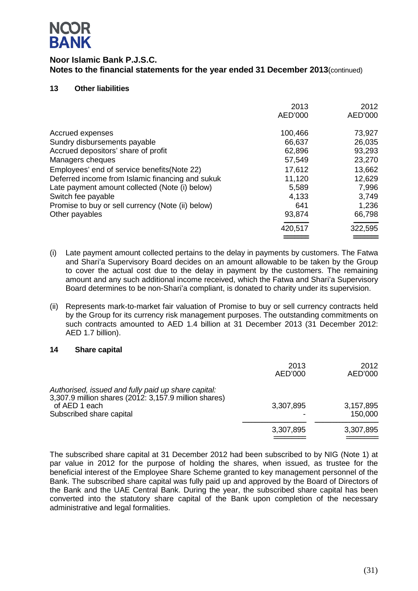

### **13 Other liabilities**

|                                                                                                  | 2013<br>AED'000  | 2012<br>AED'000  |
|--------------------------------------------------------------------------------------------------|------------------|------------------|
| Accrued expenses                                                                                 | 100,466          | 73,927           |
| Sundry disbursements payable<br>Accrued depositors' share of profit                              | 66,637<br>62,896 | 26,035<br>93,293 |
| Managers cheques                                                                                 | 57,549           | 23,270           |
| Employees' end of service benefits (Note 22)<br>Deferred income from Islamic financing and sukuk | 17,612<br>11,120 | 13,662<br>12,629 |
| Late payment amount collected (Note (i) below)<br>Switch fee payable                             | 5,589<br>4,133   | 7,996<br>3,749   |
| Promise to buy or sell currency (Note (ii) below)<br>Other payables                              | 641<br>93,874    | 1,236<br>66,798  |
|                                                                                                  | 420,517          | 322,595          |
|                                                                                                  |                  |                  |

- (i) Late payment amount collected pertains to the delay in payments by customers. The Fatwa and Shari'a Supervisory Board decides on an amount allowable to be taken by the Group to cover the actual cost due to the delay in payment by the customers. The remaining amount and any such additional income received, which the Fatwa and Shari'a Supervisory Board determines to be non-Shari'a compliant, is donated to charity under its supervision.
- (ii) Represents mark-to-market fair valuation of Promise to buy or sell currency contracts held by the Group for its currency risk management purposes. The outstanding commitments on such contracts amounted to AED 1.4 billion at 31 December 2013 (31 December 2012: AED 1.7 billion).

### **14 Share capital**

|                                                                                                                                                           | 2013<br>AED'000 | 2012<br>AED'000      |
|-----------------------------------------------------------------------------------------------------------------------------------------------------------|-----------------|----------------------|
| Authorised, issued and fully paid up share capital:<br>3,307.9 million shares (2012: 3,157.9 million shares)<br>of AED 1 each<br>Subscribed share capital | 3,307,895       | 3,157,895<br>150,000 |
|                                                                                                                                                           | 3,307,895       | 3,307,895            |

The subscribed share capital at 31 December 2012 had been subscribed to by NIG (Note 1) at par value in 2012 for the purpose of holding the shares, when issued, as trustee for the beneficial interest of the Employee Share Scheme granted to key management personnel of the Bank. The subscribed share capital was fully paid up and approved by the Board of Directors of the Bank and the UAE Central Bank. During the year, the subscribed share capital has been converted into the statutory share capital of the Bank upon completion of the necessary administrative and legal formalities.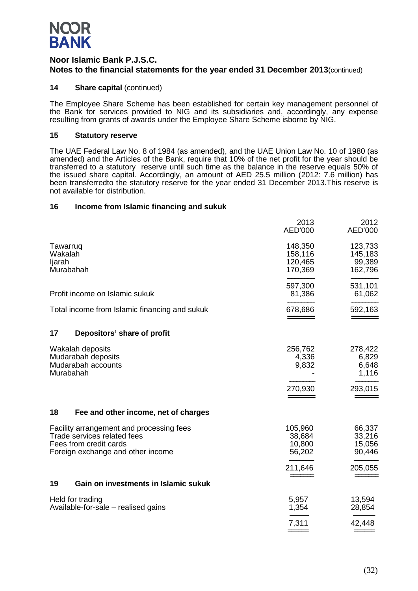

### **14 Share capital** (continued)

The Employee Share Scheme has been established for certain key management personnel of the Bank for services provided to NIG and its subsidiaries and, accordingly, any expense resulting from grants of awards under the Employee Share Scheme isborne by NIG.

### **15 Statutory reserve**

The UAE Federal Law No. 8 of 1984 (as amended), and the UAE Union Law No. 10 of 1980 (as amended) and the Articles of the Bank, require that 10% of the net profit for the year should be transferred to a statutory reserve until such time as the balance in the reserve equals 50% of the issued share capital. Accordingly, an amount of AED 25.5 million (2012: 7.6 million) has been transferredto the statutory reserve for the year ended 31 December 2013.This reserve is not available for distribution.

### **16 Income from Islamic financing and sukuk**

|                                            |                                                                                                                                        | 2013<br>AED'000                          | 2012<br>AED'000                         |
|--------------------------------------------|----------------------------------------------------------------------------------------------------------------------------------------|------------------------------------------|-----------------------------------------|
| Tawarruq<br>Wakalah<br>ljarah<br>Murabahah |                                                                                                                                        | 148,350<br>158,116<br>120,465<br>170,369 | 123,733<br>145,183<br>99,389<br>162,796 |
|                                            | Profit income on Islamic sukuk                                                                                                         | 597,300<br>81,386                        | 531,101<br>61,062                       |
|                                            | Total income from Islamic financing and sukuk                                                                                          | 678,686<br>______                        | 592,163                                 |
| 17                                         | Depositors' share of profit                                                                                                            |                                          |                                         |
| Murabahah                                  | Wakalah deposits<br>Mudarabah deposits<br>Mudarabah accounts                                                                           | 256,762<br>4,336<br>9,832                | 278,422<br>6,829<br>6,648<br>1,116      |
|                                            |                                                                                                                                        | 270,930                                  | 293,015                                 |
| 18                                         | Fee and other income, net of charges                                                                                                   |                                          |                                         |
|                                            | Facility arrangement and processing fees<br>Trade services related fees<br>Fees from credit cards<br>Foreign exchange and other income | 105,960<br>38,684<br>10,800<br>56,202    | 66,337<br>33,216<br>15,056<br>90,446    |
|                                            |                                                                                                                                        | 211,646                                  | 205,055                                 |
| 19                                         | Gain on investments in Islamic sukuk                                                                                                   |                                          |                                         |
|                                            | Held for trading<br>Available-for-sale - realised gains                                                                                | 5,957<br>1,354                           | 13,594<br>28,854                        |
|                                            |                                                                                                                                        | 7,311                                    | 42,448                                  |
|                                            |                                                                                                                                        |                                          |                                         |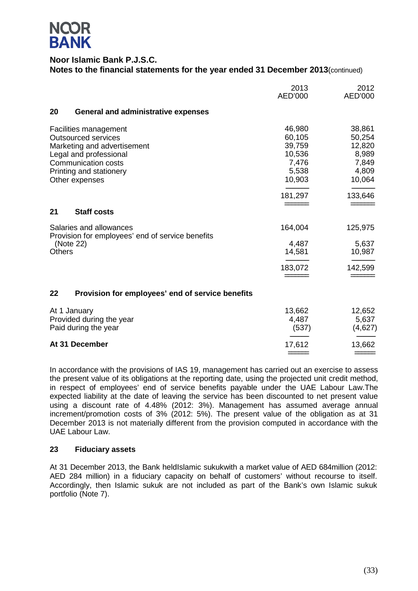

|                                                                                                                                                                                         | 2013<br>AED'000                                                  | 2012<br>AED'000                                                 |
|-----------------------------------------------------------------------------------------------------------------------------------------------------------------------------------------|------------------------------------------------------------------|-----------------------------------------------------------------|
| 20<br><b>General and administrative expenses</b>                                                                                                                                        |                                                                  |                                                                 |
| Facilities management<br><b>Outsourced services</b><br>Marketing and advertisement<br>Legal and professional<br><b>Communication costs</b><br>Printing and stationery<br>Other expenses | 46,980<br>60,105<br>39,759<br>10,536<br>7,476<br>5,538<br>10,903 | 38,861<br>50,254<br>12,820<br>8,989<br>7,849<br>4,809<br>10,064 |
|                                                                                                                                                                                         | 181,297                                                          | 133,646                                                         |
| 21<br><b>Staff costs</b>                                                                                                                                                                |                                                                  |                                                                 |
| Salaries and allowances<br>Provision for employees' end of service benefits<br>(Note 22)                                                                                                | 164,004<br>4,487                                                 | 125,975<br>5,637                                                |
| <b>Others</b>                                                                                                                                                                           | 14,581                                                           | 10,987                                                          |
|                                                                                                                                                                                         | 183,072                                                          | 142,599                                                         |
| 22<br>Provision for employees' end of service benefits                                                                                                                                  |                                                                  |                                                                 |
| At 1. January                                                                                                                                                                           | 13.662                                                           | 12.652                                                          |

| At 1 January             | 13.662 | 12,652                                     |
|--------------------------|--------|--------------------------------------------|
| Provided during the year | 4.487  | 5,637                                      |
| Paid during the year     | (537)  | (4,627)                                    |
| At 31 December           | 17.612 | 13,662                                     |
|                          |        | $\qquad \qquad \overbrace{\qquad \qquad }$ |

In accordance with the provisions of IAS 19, management has carried out an exercise to assess the present value of its obligations at the reporting date, using the projected unit credit method, in respect of employees' end of service benefits payable under the UAE Labour Law.The expected liability at the date of leaving the service has been discounted to net present value using a discount rate of 4.48% (2012: 3%). Management has assumed average annual increment/promotion costs of 3% (2012: 5%). The present value of the obligation as at 31 December 2013 is not materially different from the provision computed in accordance with the UAE Labour Law.

### **23 Fiduciary assets**

At 31 December 2013, the Bank heldIslamic sukukwith a market value of AED 684million (2012: AED 284 million) in a fiduciary capacity on behalf of customers' without recourse to itself. Accordingly, then Islamic sukuk are not included as part of the Bank's own Islamic sukuk portfolio (Note 7).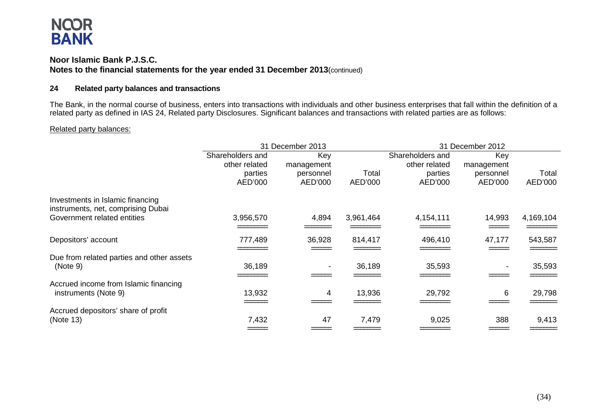### **Noor Islamic Bank P.J.S.C. Notes to the financial statements for the year ended 31 December 2013**(continued)

### **24 Related party balances and transactions**

The Bank, in the normal course of business, enters into transactions with individuals and other business enterprises that fall within the definition of a related party as defined in IAS 24, Related party Disclosures. Significant balances and transactions with related parties are as follows:

### Related party balances:

|                                                                        |                                                         | 31 December 2013                          |                  | 31 December 2012                                        |                                           |                  |
|------------------------------------------------------------------------|---------------------------------------------------------|-------------------------------------------|------------------|---------------------------------------------------------|-------------------------------------------|------------------|
|                                                                        | Shareholders and<br>other related<br>parties<br>AED'000 | Key<br>management<br>personnel<br>AED'000 | Total<br>AED'000 | Shareholders and<br>other related<br>parties<br>AED'000 | Key<br>management<br>personnel<br>AED'000 | Total<br>AED'000 |
| Investments in Islamic financing<br>instruments, net, comprising Dubai |                                                         |                                           |                  |                                                         |                                           |                  |
| Government related entities                                            | 3,956,570                                               | 4,894                                     | 3,961,464        | 4,154,111                                               | 14,993                                    | 4,169,104        |
| Depositors' account                                                    | 777,489                                                 | 36,928                                    | 814,417          | 496,410                                                 | 47,177                                    | 543,587          |
| Due from related parties and other assets<br>(Note 9)                  | 36,189                                                  |                                           | 36,189           | 35,593                                                  |                                           | 35,593           |
| Accrued income from Islamic financing<br>instruments (Note 9)          | 13,932                                                  | 4                                         | 13,936           | 29,792                                                  | 6                                         | 29,798           |
| Accrued depositors' share of profit<br>(Note 13)                       | 7,432                                                   | 47                                        | 7,479            | 9,025                                                   | 388                                       | 9,413            |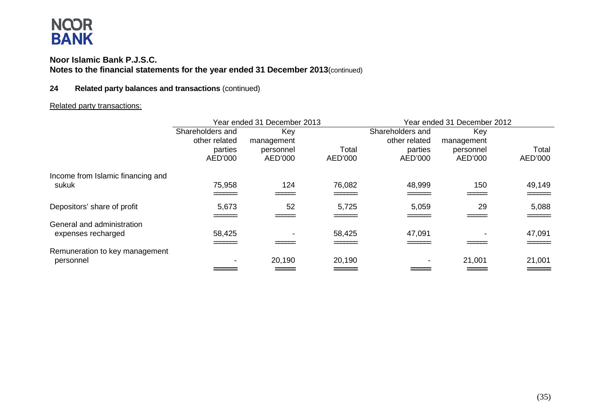### **Noor Islamic Bank P.J.S.C. Notes to the financial statements for the year ended 31 December 2013**(continued)

### **24 Related party balances and transactions** (continued)

### Related party transactions:

|                                             | Year ended 31 December 2013       |                      |                  | Year ended 31 December 2012       |                      |                       |  |
|---------------------------------------------|-----------------------------------|----------------------|------------------|-----------------------------------|----------------------|-----------------------|--|
|                                             | Shareholders and<br>other related | Key<br>management    |                  | Shareholders and<br>other related | Key<br>management    |                       |  |
|                                             | parties<br>AED'000                | personnel<br>AED'000 | Total<br>AED'000 | parties<br>AED'000                | personnel<br>AED'000 | Total<br>AED'000      |  |
| Income from Islamic financing and<br>sukuk  | 75,958                            | 124                  | 76,082           | 48,999                            | 150                  | 49,149                |  |
|                                             |                                   |                      |                  |                                   |                      | =====                 |  |
| Depositors' share of profit                 | 5,673                             | 52                   | 5,725            | 5,059                             | 29                   | 5,088<br><b>_____</b> |  |
| General and administration                  |                                   |                      |                  | 47,091                            |                      |                       |  |
| expenses recharged                          | 58,425                            |                      | 58,425           |                                   |                      | 47,091                |  |
| Remuneration to key management<br>personnel |                                   | 20,190               | 20,190           |                                   | 21,001               | 21,001                |  |
|                                             |                                   |                      |                  |                                   |                      | ======                |  |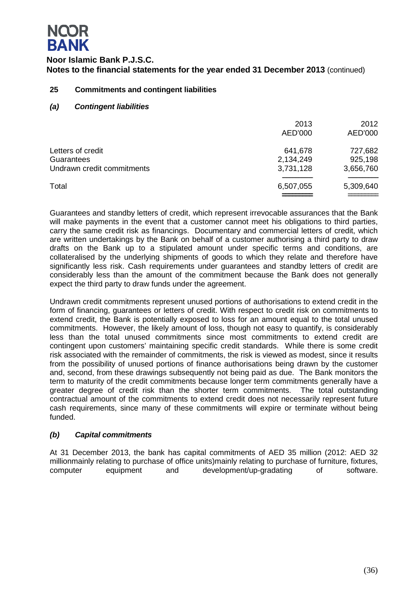

### **25 Commitments and contingent liabilities**

*(a) Contingent liabilities*

|                                                               | 2013<br>AED'000                   | 2012<br>AED'000                 |
|---------------------------------------------------------------|-----------------------------------|---------------------------------|
| Letters of credit<br>Guarantees<br>Undrawn credit commitments | 641,678<br>2,134,249<br>3,731,128 | 727,682<br>925,198<br>3,656,760 |
| Total                                                         | 6,507,055                         | 5,309,640                       |

Guarantees and standby letters of credit, which represent irrevocable assurances that the Bank will make payments in the event that a customer cannot meet his obligations to third parties, carry the same credit risk as financings. Documentary and commercial letters of credit, which are written undertakings by the Bank on behalf of a customer authorising a third party to draw drafts on the Bank up to a stipulated amount under specific terms and conditions, are collateralised by the underlying shipments of goods to which they relate and therefore have significantly less risk. Cash requirements under guarantees and standby letters of credit are considerably less than the amount of the commitment because the Bank does not generally expect the third party to draw funds under the agreement.

Undrawn credit commitments represent unused portions of authorisations to extend credit in the form of financing, guarantees or letters of credit. With respect to credit risk on commitments to extend credit, the Bank is potentially exposed to loss for an amount equal to the total unused commitments. However, the likely amount of loss, though not easy to quantify, is considerably less than the total unused commitments since most commitments to extend credit are contingent upon customers' maintaining specific credit standards. While there is some credit risk associated with the remainder of commitments, the risk is viewed as modest, since it results from the possibility of unused portions of finance authorisations being drawn by the customer and, second, from these drawings subsequently not being paid as due. The Bank monitors the term to maturity of the credit commitments because longer term commitments generally have a greater degree of credit risk than the shorter term commitments. The total outstanding contractual amount of the commitments to extend credit does not necessarily represent future cash requirements, since many of these commitments will expire or terminate without being funded.

### *(b) Capital commitments*

At 31 December 2013, the bank has capital commitments of AED 35 million (2012: AED 32 millionmainly relating to purchase of office units)mainly relating to purchase of furniture, fixtures, computer equipment and development/up-gradating of software.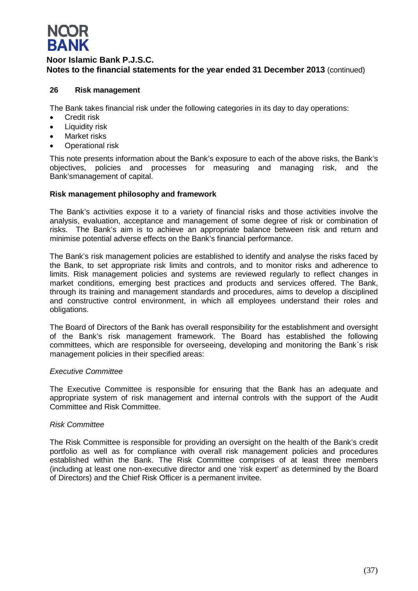# **NQOR BANK**

### **Noor Islamic Bank P.J.S.C. Notes to the financial statements for the year ended 31 December 2013** (continued)

### **26 Risk management**

The Bank takes financial risk under the following categories in its day to day operations:

- Credit risk
- Liquidity risk
- Market risks
- Operational risk

This note presents information about the Bank's exposure to each of the above risks, the Bank's objectives, policies and processes for measuring and managing risk, and the Bank'smanagement of capital.

### **Risk management philosophy and framework**

The Bank's activities expose it to a variety of financial risks and those activities involve the analysis, evaluation, acceptance and management of some degree of risk or combination of risks. The Bank's aim is to achieve an appropriate balance between risk and return and minimise potential adverse effects on the Bank's financial performance.

The Bank's risk management policies are established to identify and analyse the risks faced by the Bank, to set appropriate risk limits and controls, and to monitor risks and adherence to limits. Risk management policies and systems are reviewed regularly to reflect changes in market conditions, emerging best practices and products and services offered. The Bank, through its training and management standards and procedures, aims to develop a disciplined and constructive control environment, in which all employees understand their roles and obligations.

The Board of Directors of the Bank has overall responsibility for the establishment and oversight of the Bank's risk management framework. The Board has established the following committees, which are responsible for overseeing, developing and monitoring the Bank`s risk management policies in their specified areas:

### *Executive Committee*

The Executive Committee is responsible for ensuring that the Bank has an adequate and appropriate system of risk management and internal controls with the support of the Audit Committee and Risk Committee.

### *Risk Committee*

The Risk Committee is responsible for providing an oversight on the health of the Bank's credit portfolio as well as for compliance with overall risk management policies and procedures established within the Bank. The Risk Committee comprises of at least three members (including at least one non-executive director and one 'risk expert' as determined by the Board of Directors) and the Chief Risk Officer is a permanent invitee.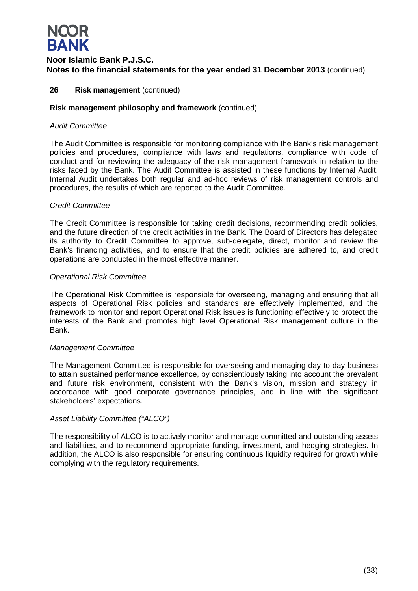

### **26 Risk management** (continued)

### **Risk management philosophy and framework** (continued)

### *Audit Committee*

The Audit Committee is responsible for monitoring compliance with the Bank's risk management policies and procedures, compliance with laws and regulations, compliance with code of conduct and for reviewing the adequacy of the risk management framework in relation to the risks faced by the Bank. The Audit Committee is assisted in these functions by Internal Audit. Internal Audit undertakes both regular and ad-hoc reviews of risk management controls and procedures, the results of which are reported to the Audit Committee.

### *Credit Committee*

The Credit Committee is responsible for taking credit decisions, recommending credit policies, and the future direction of the credit activities in the Bank. The Board of Directors has delegated its authority to Credit Committee to approve, sub-delegate, direct, monitor and review the Bank's financing activities, and to ensure that the credit policies are adhered to, and credit operations are conducted in the most effective manner.

### *Operational Risk Committee*

The Operational Risk Committee is responsible for overseeing, managing and ensuring that all aspects of Operational Risk policies and standards are effectively implemented, and the framework to monitor and report Operational Risk issues is functioning effectively to protect the interests of the Bank and promotes high level Operational Risk management culture in the Bank.

### *Management Committee*

The Management Committee is responsible for overseeing and managing day-to-day business to attain sustained performance excellence, by conscientiously taking into account the prevalent and future risk environment, consistent with the Bank's vision, mission and strategy in accordance with good corporate governance principles, and in line with the significant stakeholders' expectations.

### *Asset Liability Committee ("ALCO")*

The responsibility of ALCO is to actively monitor and manage committed and outstanding assets and liabilities, and to recommend appropriate funding, investment, and hedging strategies. In addition, the ALCO is also responsible for ensuring continuous liquidity required for growth while complying with the regulatory requirements.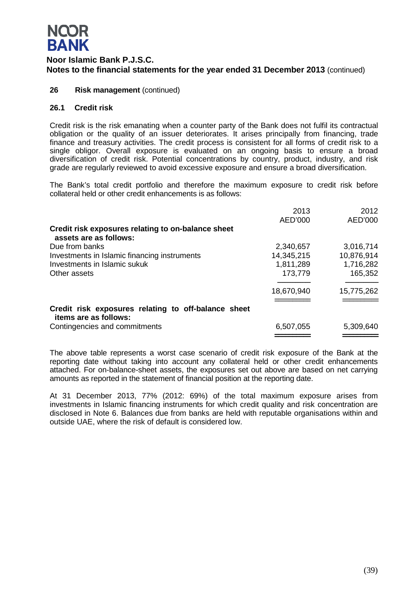### **NQOR BANK**

### **Noor Islamic Bank P.J.S.C. Notes to the financial statements for the year ended 31 December 2013** (continued)

### **26 Risk management** (continued)

### **26.1 Credit risk**

Credit risk is the risk emanating when a counter party of the Bank does not fulfil its contractual obligation or the quality of an issuer deteriorates. It arises principally from financing, trade finance and treasury activities. The credit process is consistent for all forms of credit risk to a single obligor. Overall exposure is evaluated on an ongoing basis to ensure a broad diversification of credit risk. Potential concentrations by country, product, industry, and risk grade are regularly reviewed to avoid excessive exposure and ensure a broad diversification.

The Bank's total credit portfolio and therefore the maximum exposure to credit risk before collateral held or other credit enhancements is as follows:

|                                                                              | 2013       | 2012       |
|------------------------------------------------------------------------------|------------|------------|
|                                                                              | AED'000    | AED'000    |
| Credit risk exposures relating to on-balance sheet<br>assets are as follows: |            |            |
| Due from banks                                                               | 2,340,657  | 3,016,714  |
| Investments in Islamic financing instruments                                 | 14,345,215 | 10,876,914 |
| Investments in Islamic sukuk                                                 | 1,811,289  | 1,716,282  |
| Other assets                                                                 | 173,779    | 165,352    |
|                                                                              | 18,670,940 | 15,775,262 |
|                                                                              |            |            |
| Credit risk exposures relating to off-balance sheet<br>items are as follows: |            |            |
| Contingencies and commitments                                                | 6,507,055  | 5,309,640  |
|                                                                              |            |            |

The above table represents a worst case scenario of credit risk exposure of the Bank at the reporting date without taking into account any collateral held or other credit enhancements attached. For on-balance-sheet assets, the exposures set out above are based on net carrying amounts as reported in the statement of financial position at the reporting date.

At 31 December 2013, 77% (2012: 69%) of the total maximum exposure arises from investments in Islamic financing instruments for which credit quality and risk concentration are disclosed in Note 6. Balances due from banks are held with reputable organisations within and outside UAE, where the risk of default is considered low.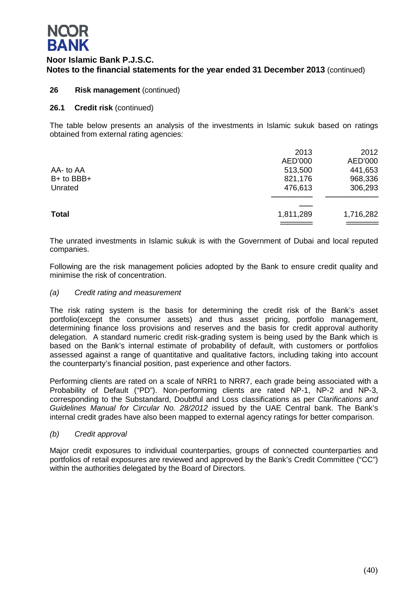

### **26 Risk management** (continued)

### **26.1 Credit risk** (continued)

The table below presents an analysis of the investments in Islamic sukuk based on ratings obtained from external rating agencies:

|              | 2013      | 2012      |
|--------------|-----------|-----------|
|              | AED'000   | AED'000   |
| AA- to AA    | 513,500   | 441,653   |
| B+ to BBB+   | 821,176   | 968,336   |
| Unrated      | 476,613   | 306,293   |
|              |           |           |
| <b>Total</b> | 1,811,289 | 1,716,282 |
|              |           |           |

The unrated investments in Islamic sukuk is with the Government of Dubai and local reputed companies.

Following are the risk management policies adopted by the Bank to ensure credit quality and minimise the risk of concentration.

### *(a) Credit rating and measurement*

The risk rating system is the basis for determining the credit risk of the Bank's asset portfolio(except the consumer assets) and thus asset pricing, portfolio management, determining finance loss provisions and reserves and the basis for credit approval authority delegation. A standard numeric credit risk-grading system is being used by the Bank which is based on the Bank's internal estimate of probability of default, with customers or portfolios assessed against a range of quantitative and qualitative factors, including taking into account the counterparty's financial position, past experience and other factors.

Performing clients are rated on a scale of NRR1 to NRR7, each grade being associated with a Probability of Default ("PD"). Non-performing clients are rated NP-1, NP-2 and NP-3, corresponding to the Substandard, Doubtful and Loss classifications as per *Clarifications and Guidelines Manual for Circular No. 28/2012* issued by the UAE Central bank. The Bank's internal credit grades have also been mapped to external agency ratings for better comparison.

### *(b) Credit approval*

Major credit exposures to individual counterparties, groups of connected counterparties and portfolios of retail exposures are reviewed and approved by the Bank's Credit Committee ("CC") within the authorities delegated by the Board of Directors.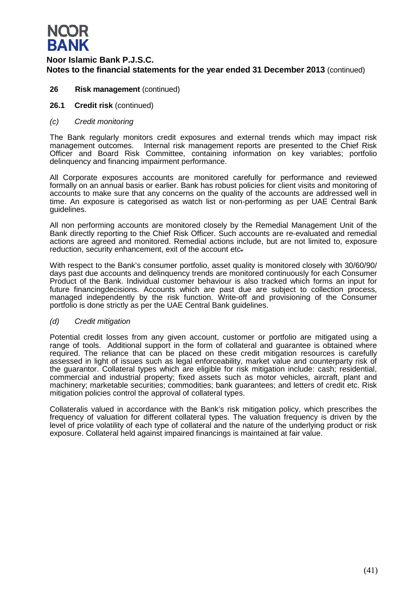

- **26 Risk management** (continued)
- **26.1 Credit risk** (continued)
- *(c) Credit monitoring*

The Bank regularly monitors credit exposures and external trends which may impact risk management outcomes. Internal risk management reports are presented to the Chief Risk Officer and Board Risk Committee, containing information on key variables; portfolio delinquency and financing impairment performance.

All Corporate exposures accounts are monitored carefully for performance and reviewed formally on an annual basis or earlier. Bank has robust policies for client visits and monitoring of accounts to make sure that any concerns on the quality of the accounts are addressed well in time. An exposure is categorised as watch list or non-performing as per UAE Central Bank guidelines.

All non performing accounts are monitored closely by the Remedial Management Unit of the Bank directly reporting to the Chief Risk Officer. Such accounts are re-evaluated and remedial actions are agreed and monitored. Remedial actions include, but are not limited to, exposure reduction, security enhancement, exit of the account etc.

With respect to the Bank's consumer portfolio, asset quality is monitored closely with 30/60/90/ days past due accounts and delinquency trends are monitored continuously for each Consumer Product of the Bank. Individual customer behaviour is also tracked which forms an input for future financingdecisions. Accounts which are past due are subject to collection process, managed independently by the risk function. Write-off and provisioning of the Consumer portfolio is done strictly as per the UAE Central Bank guidelines.

### *(d) Credit mitigation*

Potential credit losses from any given account, customer or portfolio are mitigated using a range of tools. Additional support in the form of collateral and guarantee is obtained where required. The reliance that can be placed on these credit mitigation resources is carefully assessed in light of issues such as legal enforceability, market value and counterparty risk of the guarantor. Collateral types which are eligible for risk mitigation include: cash; residential, commercial and industrial property; fixed assets such as motor vehicles, aircraft, plant and machinery; marketable securities; commodities; bank guarantees; and letters of credit etc. Risk mitigation policies control the approval of collateral types.

Collateralis valued in accordance with the Bank's risk mitigation policy, which prescribes the frequency of valuation for different collateral types. The valuation frequency is driven by the level of price volatility of each type of collateral and the nature of the underlying product or risk exposure. Collateral held against impaired financings is maintained at fair value.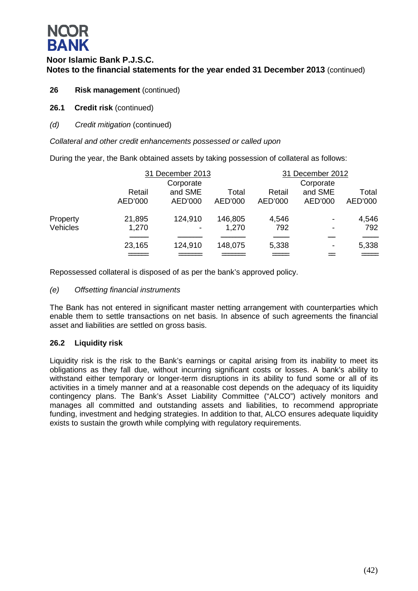# **NQOR BANK**

### **Noor Islamic Bank P.J.S.C. Notes to the financial statements for the year ended 31 December 2013** (continued)

- **26 Risk management** (continued)
- **26.1 Credit risk** (continued)
- *(d) Credit mitigation* (continued)

*Collateral and other credit enhancements possessed or called upon*

During the year, the Bank obtained assets by taking possession of collateral as follows:

|                 |         | 31 December 2013         |         |         | 31 December 2012         |         |  |  |
|-----------------|---------|--------------------------|---------|---------|--------------------------|---------|--|--|
|                 |         | Corporate                |         |         | Corporate                |         |  |  |
|                 | Retail  | and SME                  | Total   | Retail  | and SME                  | Total   |  |  |
|                 | AED'000 | AED'000                  | AED'000 | AED'000 | AED'000                  | AED'000 |  |  |
| Property        | 21,895  | 124,910                  | 146,805 | 4,546   | $\overline{\phantom{a}}$ | 4,546   |  |  |
| <b>Vehicles</b> | 1,270   | $\overline{\phantom{a}}$ | 1,270   | 792     | $\overline{\phantom{a}}$ | 792     |  |  |
|                 |         |                          |         |         |                          |         |  |  |
|                 | 23,165  | 124,910                  | 148,075 | 5,338   | $\overline{\phantom{a}}$ | 5,338   |  |  |
|                 |         |                          |         |         |                          |         |  |  |

Repossessed collateral is disposed of as per the bank's approved policy.

### *(e) Offsetting financial instruments*

The Bank has not entered in significant master netting arrangement with counterparties which enable them to settle transactions on net basis. In absence of such agreements the financial asset and liabilities are settled on gross basis.

### **26.2 Liquidity risk**

Liquidity risk is the risk to the Bank's earnings or capital arising from its inability to meet its obligations as they fall due, without incurring significant costs or losses. A bank's ability to withstand either temporary or longer-term disruptions in its ability to fund some or all of its activities in a timely manner and at a reasonable cost depends on the adequacy of its liquidity contingency plans. The Bank's Asset Liability Committee ("ALCO") actively monitors and manages all committed and outstanding assets and liabilities, to recommend appropriate funding, investment and hedging strategies. In addition to that, ALCO ensures adequate liquidity exists to sustain the growth while complying with regulatory requirements.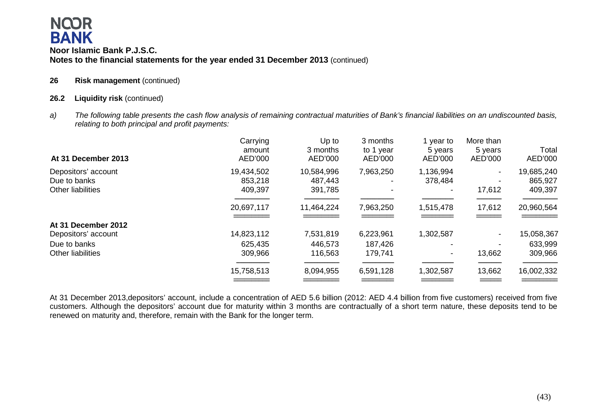**26 Risk management** (continued)

### **26.2 Liquidity risk** (continued)

*a) The following table presents the cash flow analysis of remaining contractual maturities of Bank's financial liabilities on an undiscounted basis, relating to both principal and profit payments:*

| At 31 December 2013      | Carrying<br>amount<br>AED'000 | Up to<br>3 months<br>AED'000 | 3 months<br>to 1 year<br>AED'000 | year to<br>5 years<br>AED'000 | More than<br>5 years<br>AED'000 | Total<br>AED'000 |
|--------------------------|-------------------------------|------------------------------|----------------------------------|-------------------------------|---------------------------------|------------------|
| Depositors' account      | 19,434,502                    | 10,584,996                   | 7,963,250                        | 1,136,994                     |                                 | 19,685,240       |
| Due to banks             | 853,218                       | 487,443                      |                                  | 378,484                       | $\overline{\phantom{0}}$        | 865,927          |
| <b>Other liabilities</b> | 409,397                       | 391,785                      |                                  |                               | 17,612                          | 409,397          |
|                          | 20,697,117                    | 11,464,224                   | 7,963,250                        | 1,515,478                     | 17,612                          | 20,960,564       |
| At 31 December 2012      |                               |                              |                                  |                               |                                 |                  |
| Depositors' account      | 14,823,112                    | 7,531,819                    | 6,223,961                        | 1,302,587                     | $\overline{\phantom{a}}$        | 15,058,367       |
| Due to banks             | 625,435                       | 446,573                      | 187,426                          |                               |                                 | 633,999          |
| Other liabilities        | 309,966                       | 116,563                      | 179,741                          | -                             | 13,662                          | 309,966          |
|                          | 15,758,513                    | 8,094,955                    | 6,591,128                        | 1,302,587                     | 13,662                          | 16,002,332       |
|                          |                               |                              |                                  |                               |                                 |                  |

At 31 December 2013,depositors' account, include a concentration of AED 5.6 billion (2012: AED 4.4 billion from five customers) received from five customers. Although the depositors' account due for maturity within 3 months are contractually of a short term nature, these deposits tend to be renewed on maturity and, therefore, remain with the Bank for the longer term.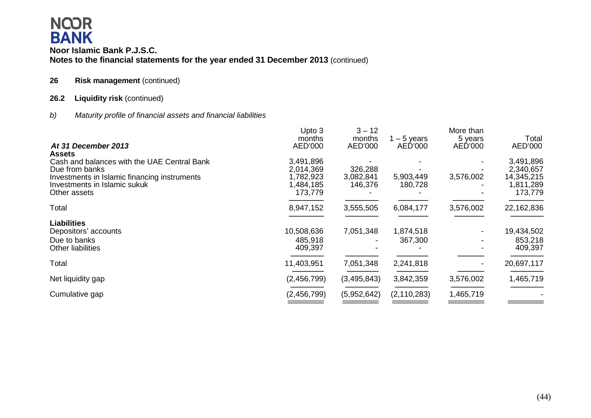### **26 Risk management** (continued)

### **26.2 Liquidity risk** (continued)

*b) Maturity profile of financial assets and financial liabilities*

|                                                               | Upto 3<br>months       | $3 - 12$<br>months | $-5$ years    | More than<br>5 years | Total                  |
|---------------------------------------------------------------|------------------------|--------------------|---------------|----------------------|------------------------|
| At 31 December 2013                                           | AED'000                | AED'000            | AED'000       | AED'000              | AED'000                |
| <b>Assets</b>                                                 |                        |                    |               |                      |                        |
| Cash and balances with the UAE Central Bank<br>Due from banks | 3,491,896<br>2,014,369 | 326,288            |               |                      | 3,491,896<br>2,340,657 |
| Investments in Islamic financing instruments                  | 1,782,923              | 3,082,841          | 5,903,449     | 3,576,002            | 14,345,215             |
| Investments in Islamic sukuk                                  | 1,484,185              | 146,376            | 180,728       |                      | 1,811,289              |
| Other assets                                                  | 173,779                |                    |               |                      | 173,779                |
| Total                                                         | 8,947,152              | 3,555,505          | 6,084,177     | 3,576,002            | 22,162,836             |
| <b>Liabilities</b>                                            |                        |                    |               |                      |                        |
| Depositors' accounts                                          | 10,508,636             | 7,051,348          | 1,874,518     |                      | 19,434,502             |
| Due to banks                                                  | 485,918                |                    | 367,300       |                      | 853,218                |
| Other liabilities                                             | 409,397                |                    |               |                      | 409,397                |
| Total                                                         | 11,403,951             | 7,051,348          | 2,241,818     |                      | 20,697,117             |
| Net liquidity gap                                             | (2,456,799)            | (3,495,843)        | 3,842,359     | 3,576,002            | 1,465,719              |
| Cumulative gap                                                | (2,456,799)            | (5,952,642)        | (2, 110, 283) | 1,465,719            |                        |
|                                                               |                        |                    |               |                      |                        |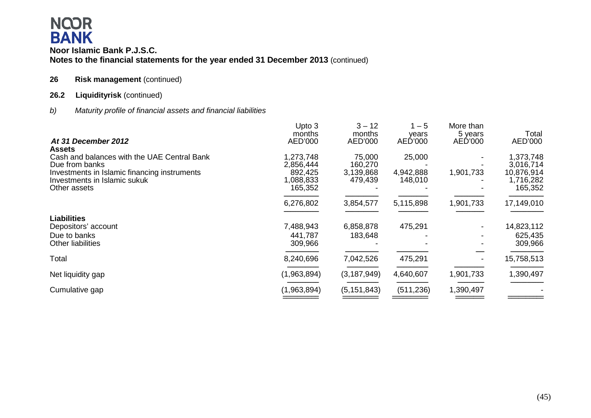### **26 Risk management** (continued)

### 26.2 Liquidityrisk (continued)

*b) Maturity profile of financial assets and financial liabilities*

|                                              | Upto 3      | $3 - 12$      | $1 - 5$    | More than |            |
|----------------------------------------------|-------------|---------------|------------|-----------|------------|
|                                              | months      | months        | years      | 5 years   | Total      |
| At 31 December 2012<br><b>Assets</b>         | AED'000     | AED'000       | AED'000    | AED'000   | AED'000    |
| Cash and balances with the UAE Central Bank  | 1,273,748   | 75,000        | 25,000     |           | 1,373,748  |
| Due from banks                               | 2,856,444   | 160,270       |            |           | 3,016,714  |
| Investments in Islamic financing instruments | 892,425     | 3,139,868     | 4,942,888  | 1,901,733 | 10,876,914 |
| Investments in Islamic sukuk                 | 1,088,833   | 479,439       | 148,010    |           | 1,716,282  |
| Other assets                                 | 165,352     |               |            |           | 165,352    |
|                                              | 6,276,802   | 3,854,577     | 5,115,898  | 1,901,733 | 17,149,010 |
| <b>Liabilities</b>                           |             |               |            |           |            |
| Depositors' account                          | 7,488,943   | 6,858,878     | 475,291    |           | 14,823,112 |
| Due to banks                                 | 441,787     | 183,648       |            |           | 625,435    |
| <b>Other liabilities</b>                     | 309,966     |               |            |           | 309,966    |
| Total                                        | 8,240,696   | 7,042,526     | 475,291    |           | 15,758,513 |
| Net liquidity gap                            | (1,963,894) | (3, 187, 949) | 4,640,607  | 1,901,733 | 1,390,497  |
| Cumulative gap                               | (1,963,894) | (5, 151, 843) | (511, 236) | 1,390,497 |            |
|                                              |             |               |            |           |            |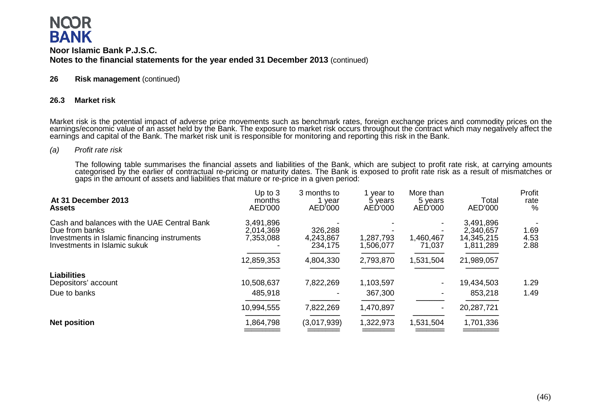### **26 Risk management** (continued)

#### **26.3 Market risk**

Market risk is the potential impact of adverse price movements such as benchmark rates, foreign exchange prices and commodity prices on the earnings/economic value of an asset held by the Bank. The exposure to market risk

#### *(a) Profit rate risk*

The following table summarises the financial assets and liabilities of the Bank, which are subject to profit rate risk, at carrying amounts categorised by the earlier of contractual re-pricing or maturity dates. The Bank i

| At 31 December 2013<br><b>Assets</b>                                                                                                          | Up to $3$<br>months<br>AED'000      | 3 months to<br>year<br>AED'000  | year to<br>5 years<br>AED'000 | More than<br>5 years<br>AED'000 | Total<br>AED'000                                  | Profit<br>rate<br>%  |
|-----------------------------------------------------------------------------------------------------------------------------------------------|-------------------------------------|---------------------------------|-------------------------------|---------------------------------|---------------------------------------------------|----------------------|
| Cash and balances with the UAE Central Bank<br>Due from banks<br>Investments in Islamic financing instruments<br>Investments in Islamic sukuk | 3,491,896<br>2,014,369<br>7,353,088 | 326,288<br>4,243,867<br>234,175 | 1,287,793<br>1,506,077        | 1,460,467<br>71,037             | 3,491,896<br>2,340,657<br>14,345,215<br>1,811,289 | 1.69<br>4.53<br>2.88 |
|                                                                                                                                               | 12,859,353                          | 4,804,330                       | 2,793,870                     | 1,531,504                       | 21,989,057                                        |                      |
| <b>Liabilities</b><br>Depositors' account<br>Due to banks                                                                                     | 10,508,637<br>485,918               | 7,822,269                       | 1,103,597<br>367,300          |                                 | 19,434,503<br>853,218                             | 1.29<br>1.49         |
|                                                                                                                                               | 10,994,555                          | 7,822,269                       | 1,470,897                     |                                 | 20,287,721                                        |                      |
| <b>Net position</b>                                                                                                                           | 1,864,798                           | (3,017,939)                     | 1,322,973                     | 1,531,504                       | 1,701,336                                         |                      |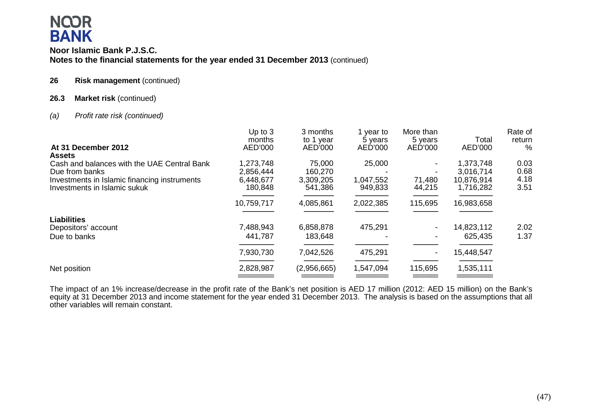### **Noor Islamic Bank P.J.S.C. Notes to the financial statements for the year ended 31 December 2013** (continued)

### **26 Risk management** (continued)

### **26.3 Market risk** (continued)

### *(a) Profit rate risk (continued)*

| At 31 December 2012                                                          | Up to $3$<br>months<br>AED'000 | 3 months<br>to 1 year<br>AED'000 | 1 year to<br>5 years<br>AED'000 | More than<br>5 years<br>AED'000 | Total<br>AED'000        | Rate of<br>return<br>$\%$ |
|------------------------------------------------------------------------------|--------------------------------|----------------------------------|---------------------------------|---------------------------------|-------------------------|---------------------------|
| <b>Assets</b>                                                                |                                |                                  |                                 |                                 |                         |                           |
| Cash and balances with the UAE Central Bank                                  | 1,273,748                      | 75,000                           | 25,000                          |                                 | 1,373,748               | 0.03<br>0.68              |
| Due from banks                                                               | 2,856,444                      | 160,270                          |                                 |                                 | 3,016,714               | 4.18                      |
| Investments in Islamic financing instruments<br>Investments in Islamic sukuk | 6,448,677<br>180,848           | 3,309,205<br>541,386             | 1,047,552<br>949,833            | 71,480<br>44,215                | 10,876,914<br>1,716,282 | 3.51                      |
|                                                                              | 10,759,717                     | 4,085,861                        | 2,022,385                       | 115,695                         | 16,983,658              |                           |
| <b>Liabilities</b>                                                           |                                |                                  |                                 |                                 |                         |                           |
| Depositors' account                                                          | 7,488,943                      | 6,858,878                        | 475,291                         |                                 | 14,823,112              | 2.02                      |
| Due to banks                                                                 | 441,787                        | 183,648                          |                                 |                                 | 625,435                 | 1.37                      |
|                                                                              | 7,930,730                      | 7,042,526                        | 475,291                         |                                 | 15,448,547              |                           |
| Net position                                                                 | 2,828,987                      | (2,956,665)                      | 1,547,094                       | 115,695                         | 1,535,111               |                           |
|                                                                              |                                |                                  |                                 |                                 |                         |                           |

The impact of an 1% increase/decrease in the profit rate of the Bank's net position is AED 17 million (2012: AED 15 million) on the Bank's equity at 31 December 2013 and income statement for the year ended 31 December 2013. The analysis is based on the assumptions that all other variables will remain constant.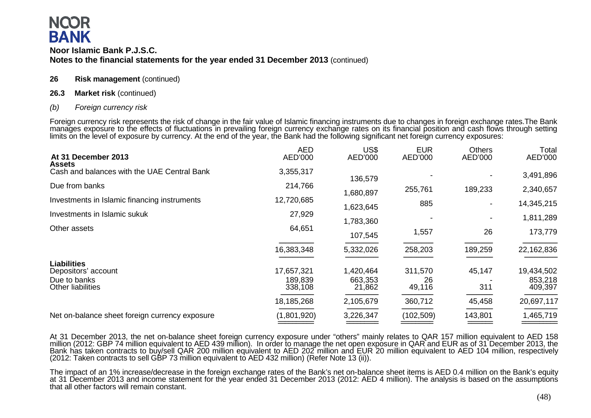### **Noor Islamic Bank P.J.S.C. Notes to the financial statements for the year ended 31 December 2013** (continued)

### **26 Risk management** (continued)

### **26.3 Market risk** (continued)

### *(b) Foreign currency risk*

Foreign currency risk represents the risk of change in the fair value of Islamic financing instruments due to changes in foreign exchange rates.The Bank manages exposure to the effects of fluctuations in prevailing foreign currency exchange rates on its financial position and cash flows through setting<br>limits on the level of exposure by currency. At the end of the year, th

| At 31 December 2013                                                            | <b>AED</b><br>AED'000            | US\$<br>AED'000                | <b>EUR</b><br>AED'000   | <b>Others</b><br>AED'000 | Total<br>AED'000                 |
|--------------------------------------------------------------------------------|----------------------------------|--------------------------------|-------------------------|--------------------------|----------------------------------|
| <b>Assets</b><br>Cash and balances with the UAE Central Bank                   | 3,355,317                        | 136,579                        |                         |                          | 3,491,896                        |
| Due from banks                                                                 | 214,766                          | 1,680,897                      | 255,761                 | 189,233                  | 2,340,657                        |
| Investments in Islamic financing instruments                                   | 12,720,685                       | 1,623,645                      | 885                     |                          | 14,345,215                       |
| Investments in Islamic sukuk                                                   | 27,929                           | 1,783,360                      |                         |                          | 1,811,289                        |
| Other assets                                                                   | 64,651                           | 107,545                        | 1,557                   | 26                       | 173,779                          |
|                                                                                | 16,383,348                       | 5,332,026                      | 258,203                 | 189,259                  | 22,162,836                       |
| <b>Liabilities</b><br>Depositors' account<br>Due to banks<br>Other liabilities | 17,657,321<br>189,839<br>338,108 | 1,420,464<br>663,353<br>21,862 | 311,570<br>26<br>49,116 | 45,147<br>311            | 19,434,502<br>853,218<br>409,397 |
|                                                                                | 18,185,268                       | 2,105,679                      | 360,712                 | 45,458                   | 20,697,117                       |
| Net on-balance sheet foreign currency exposure                                 | (1,801,920)                      | 3,226,347                      | (102, 509)              | 143,801                  | 1,465,719                        |

At 31 December 2013, the net on-balance sheet foreign currency exposure under "others" mainly relates to QAR 157 million equivalent to AED 158 million (2012: GBP 74 million equivalent to AED 439 million). In order to manag Bank has taken contracts to buy/sell QAR 200 million equivalent to AED 202 million and EUR 20 million equivalent to AED 104 million, respectively (2012: Taken contracts to sell GBP 73 million equivalent to AED 432 million)

The impact of an 1% increase/decrease in the foreign exchange rates of the Bank's net on-balance sheet items is AED 0.4 million on the Bank's equity at 31 December 2013 and income statement for the year ended 31 December 2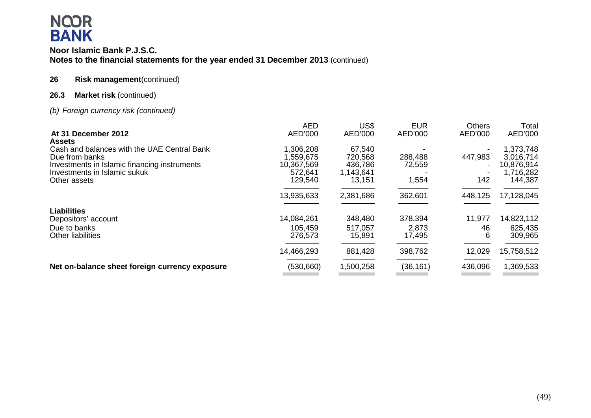### **Noor Islamic Bank P.J.S.C. Notes to the financial statements for the year ended 31 December 2013** (continued)

### **26 Risk management**(continued)

### **26.3 Market risk** (continued)

### *(b) Foreign currency risk (continued)*

|                                                | <b>AED</b> | US\$      | <b>EUR</b> | Others  | Total      |
|------------------------------------------------|------------|-----------|------------|---------|------------|
| At 31 December 2012<br><b>Assets</b>           | AED'000    | AED'000   | AED'000    | AED'000 | AED'000    |
| Cash and balances with the UAE Central Bank    | 1,306,208  | 67,540    |            |         | 1,373,748  |
| Due from banks                                 | 1,559,675  | 720,568   | 288,488    | 447,983 | 3,016,714  |
| Investments in Islamic financing instruments   | 10,367,569 | 436,786   | 72,559     |         | 10,876,914 |
| Investments in Islamic sukuk                   | 572,641    | 1,143,641 |            |         | 1,716,282  |
| Other assets                                   | 129,540    | 13,151    | 1,554      | 142     | 144,387    |
|                                                | 13,935,633 | 2,381,686 | 362,601    | 448,125 | 17,128,045 |
| <b>Liabilities</b>                             |            |           |            |         |            |
| Depositors' account                            | 14,084,261 | 348,480   | 378,394    | 11,977  | 14,823,112 |
| Due to banks                                   | 105,459    | 517,057   | 2,873      | 46      | 625,435    |
| <b>Other liabilities</b>                       | 276,573    | 15,891    | 17,495     | 6       | 309,965    |
|                                                | 14,466,293 | 881,428   | 398,762    | 12,029  | 15,758,512 |
| Net on-balance sheet foreign currency exposure | (530, 660) | 1,500,258 | (36, 161)  | 436,096 | 1,369,533  |
|                                                |            |           |            |         |            |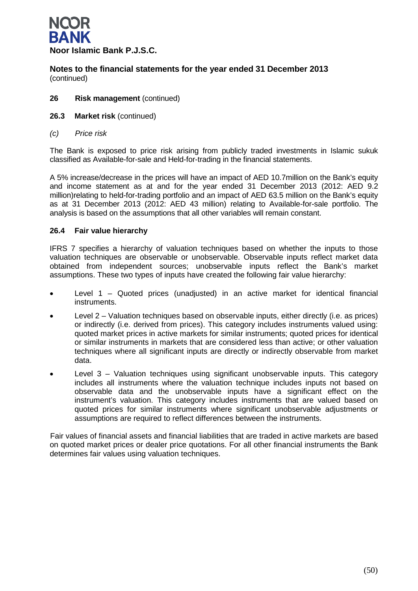

- **26 Risk management** (continued)
- **26.3 Market risk** (continued)
- *(c) Price risk*

The Bank is exposed to price risk arising from publicly traded investments in Islamic sukuk classified as Available-for-sale and Held-for-trading in the financial statements.

A 5% increase/decrease in the prices will have an impact of AED 10.7million on the Bank's equity and income statement as at and for the year ended 31 December 2013 (2012: AED 9.2 million)relating to held-for-trading portfolio and an impact of AED 63.5 million on the Bank's equity as at 31 December 2013 (2012: AED 43 million) relating to Available-for-sale portfolio. The analysis is based on the assumptions that all other variables will remain constant.

### **26.4 Fair value hierarchy**

IFRS 7 specifies a hierarchy of valuation techniques based on whether the inputs to those valuation techniques are observable or unobservable. Observable inputs reflect market data obtained from independent sources; unobservable inputs reflect the Bank's market assumptions. These two types of inputs have created the following fair value hierarchy:

- Level 1 Quoted prices (unadjusted) in an active market for identical financial instruments.
- Level 2 Valuation techniques based on observable inputs, either directly (i.e. as prices) or indirectly (i.e. derived from prices). This category includes instruments valued using: quoted market prices in active markets for similar instruments; quoted prices for identical or similar instruments in markets that are considered less than active; or other valuation techniques where all significant inputs are directly or indirectly observable from market data.
- Level  $3$  Valuation techniques using significant unobservable inputs. This category includes all instruments where the valuation technique includes inputs not based on observable data and the unobservable inputs have a significant effect on the instrument's valuation. This category includes instruments that are valued based on quoted prices for similar instruments where significant unobservable adjustments or assumptions are required to reflect differences between the instruments.

Fair values of financial assets and financial liabilities that are traded in active markets are based on quoted market prices or dealer price quotations. For all other financial instruments the Bank determines fair values using valuation techniques.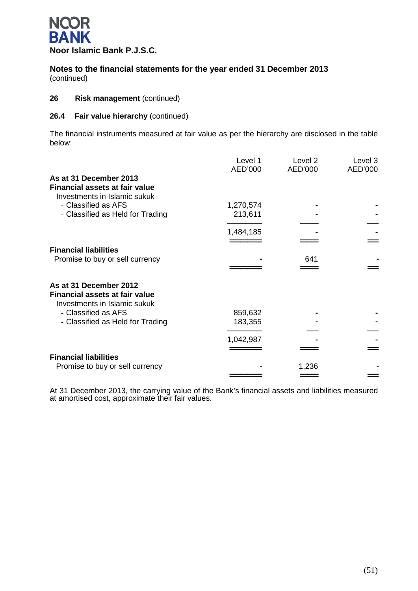

### **26 Risk management** (continued)

### **26.4 Fair value hierarchy** (continued)

The financial instruments measured at fair value as per the hierarchy are disclosed in the table below:

|                                                                                          | Level 1<br>AED'000 | Level 2<br>AED'000 | Level 3<br>AED'000 |
|------------------------------------------------------------------------------------------|--------------------|--------------------|--------------------|
| As at 31 December 2013<br>Financial assets at fair value<br>Investments in Islamic sukuk |                    |                    |                    |
| - Classified as AFS                                                                      | 1,270,574          |                    |                    |
| - Classified as Held for Trading                                                         | 213,611            |                    |                    |
|                                                                                          | 1,484,185          |                    |                    |
|                                                                                          |                    |                    |                    |
| <b>Financial liabilities</b>                                                             |                    |                    |                    |
| Promise to buy or sell currency                                                          |                    | 641                |                    |
| As at 31 December 2012<br><b>Financial assets at fair value</b>                          |                    |                    |                    |
| Investments in Islamic sukuk                                                             |                    |                    |                    |
| - Classified as AFS                                                                      | 859,632            |                    |                    |
| - Classified as Held for Trading                                                         | 183,355            |                    |                    |
|                                                                                          |                    |                    |                    |
|                                                                                          | 1,042,987          |                    |                    |
|                                                                                          |                    |                    |                    |
| <b>Financial liabilities</b>                                                             |                    |                    |                    |
| Promise to buy or sell currency                                                          |                    | 1,236              |                    |
|                                                                                          |                    |                    |                    |

At 31 December 2013, the carrying value of the Bank's financial assets and liabilities measured at amortised cost, approximate their fair values.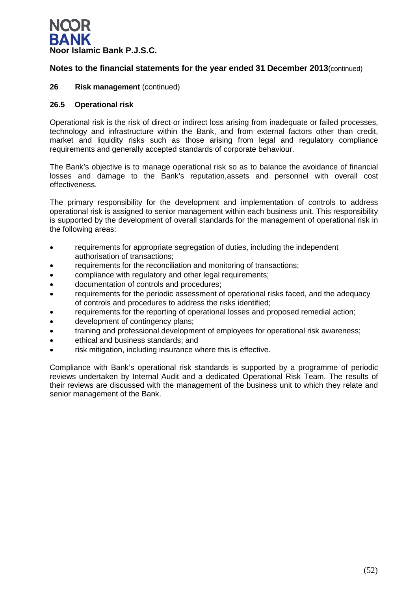

### **26 Risk management** (continued)

### **26.5 Operational risk**

Operational risk is the risk of direct or indirect loss arising from inadequate or failed processes, technology and infrastructure within the Bank, and from external factors other than credit, market and liquidity risks such as those arising from legal and regulatory compliance requirements and generally accepted standards of corporate behaviour.

The Bank's objective is to manage operational risk so as to balance the avoidance of financial losses and damage to the Bank's reputation,assets and personnel with overall cost effectiveness.

The primary responsibility for the development and implementation of controls to address operational risk is assigned to senior management within each business unit. This responsibility is supported by the development of overall standards for the management of operational risk in the following areas:

- requirements for appropriate segregation of duties, including the independent authorisation of transactions;
- requirements for the reconciliation and monitoring of transactions;
- compliance with regulatory and other legal requirements;
- documentation of controls and procedures;
- requirements for the periodic assessment of operational risks faced, and the adequacy of controls and procedures to address the risks identified;
- requirements for the reporting of operational losses and proposed remedial action;
- development of contingency plans;
- training and professional development of employees for operational risk awareness;
- ethical and business standards; and
- risk mitigation, including insurance where this is effective.

Compliance with Bank's operational risk standards is supported by a programme of periodic reviews undertaken by Internal Audit and a dedicated Operational Risk Team. The results of their reviews are discussed with the management of the business unit to which they relate and senior management of the Bank.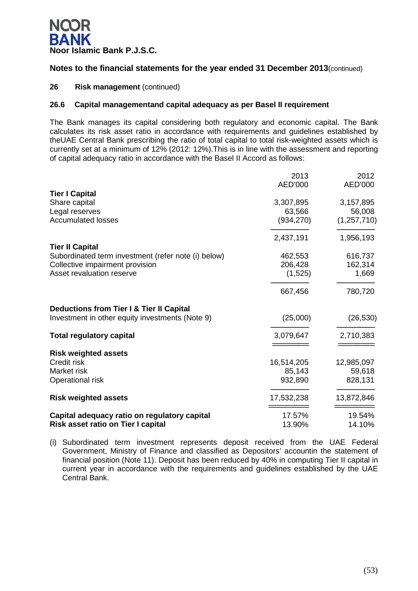

### **26 Risk management** (continued)

### **26.6 Capital managementand capital adequacy as per Basel II requirement**

The Bank manages its capital considering both regulatory and economic capital. The Bank calculates its risk asset ratio in accordance with requirements and guidelines established by theUAE Central Bank prescribing the ratio of total capital to total risk-weighted assets which is currently set at a minimum of 12% (2012: 12%).This is in line with the assessment and reporting of capital adequacy ratio in accordance with the Basel II Accord as follows:

|                                                     | 2013       | 2012          |
|-----------------------------------------------------|------------|---------------|
|                                                     | AED'000    | AED'000       |
| <b>Tier I Capital</b>                               |            |               |
| Share capital                                       | 3,307,895  | 3,157,895     |
| Legal reserves                                      | 63,566     | 56,008        |
| <b>Accumulated losses</b>                           | (934, 270) | (1, 257, 710) |
|                                                     | 2,437,191  | 1,956,193     |
| <b>Tier II Capital</b>                              |            |               |
| Subordinated term investment (refer note (i) below) | 462,553    | 616,737       |
| Collective impairment provision                     | 206,428    | 162,314       |
| Asset revaluation reserve                           | (1,525)    | 1,669         |
|                                                     | 667,456    | 780,720       |
| Deductions from Tier I & Tier II Capital            |            |               |
| Investment in other equity investments (Note 9)     | (25,000)   | (26, 530)     |
| <b>Total regulatory capital</b>                     | 3,079,647  | 2,710,383     |
| <b>Risk weighted assets</b>                         |            |               |
| Credit risk                                         | 16,514,205 | 12,985,097    |
| Market risk                                         | 85,143     | 59,618        |
| Operational risk                                    | 932,890    | 828,131       |
| <b>Risk weighted assets</b>                         | 17,532,238 | 13,872,846    |
| Capital adequacy ratio on regulatory capital        | 17.57%     | 19.54%        |
| Risk asset ratio on Tier I capital                  | 13.90%     | 14.10%        |

(i) Subordinated term investment represents deposit received from the UAE Federal Government, Ministry of Finance and classified as Depositors' accountin the statement of financial position (Note 11). Deposit has been reduced by 40% in computing Tier II capital in current year in accordance with the requirements and guidelines established by the UAE Central Bank.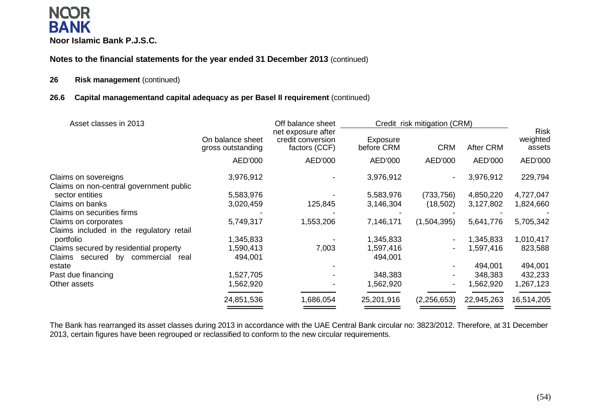### **NCOR BANK Noor Islamic Bank P.J.S.C.**

**Notes to the financial statements for the year ended 31 December 2013** (continued)

### **26 Risk management** (continued)

### **26.6 Capital managementand capital adequacy as per Basel II requirement** (continued)

| Asset classes in 2013                                      |                                       | Off balance sheet                                        |                        | Credit risk mitigation (CRM) |                  |                                   |
|------------------------------------------------------------|---------------------------------------|----------------------------------------------------------|------------------------|------------------------------|------------------|-----------------------------------|
|                                                            | On balance sheet<br>gross outstanding | net exposure after<br>credit conversion<br>factors (CCF) | Exposure<br>before CRM | <b>CRM</b>                   | <b>After CRM</b> | <b>Risk</b><br>weighted<br>assets |
|                                                            | AED'000                               | AED'000                                                  | AED'000                | AED'000                      | AED'000          | AED'000                           |
| Claims on sovereigns                                       | 3,976,912                             |                                                          | 3,976,912              |                              | 3,976,912        | 229,794                           |
| Claims on non-central government public<br>sector entities | 5,583,976                             |                                                          | 5,583,976              | (733, 756)                   | 4,850,220        | 4,727,047                         |
| Claims on banks                                            | 3,020,459                             | 125,845                                                  | 3,146,304              | (18, 502)                    | 3,127,802        | 1,824,660                         |
| Claims on securities firms                                 |                                       |                                                          |                        |                              |                  |                                   |
| Claims on corporates                                       | 5,749,317                             | 1,553,206                                                | 7,146,171              | (1,504,395)                  | 5,641,776        | 5,705,342                         |
| Claims included in the regulatory retail                   |                                       |                                                          |                        |                              |                  |                                   |
| portfolio                                                  | 1,345,833                             |                                                          | 1,345,833              |                              | 1,345,833        | 1,010,417                         |
| Claims secured by residential property                     | 1,590,413                             | 7,003                                                    | 1,597,416              |                              | 1,597,416        | 823,588                           |
| Claims secured by commercial<br>real                       | 494,001                               |                                                          | 494,001                |                              |                  |                                   |
| estate                                                     |                                       |                                                          |                        |                              | 494,001          | 494,001                           |
| Past due financing                                         | 1,527,705                             |                                                          | 348,383                |                              | 348,383          | 432,233                           |
| Other assets                                               | 1,562,920                             |                                                          | 1,562,920              |                              | 1,562,920        | 1,267,123                         |
|                                                            | 24,851,536                            | 1,686,054                                                | 25,201,916             | (2, 256, 653)                | 22,945,263       | 16,514,205                        |
|                                                            |                                       |                                                          |                        |                              |                  |                                   |

The Bank has rearranged its asset classes during 2013 in accordance with the UAE Central Bank circular no: 3823/2012. Therefore, at 31 December 2013, certain figures have been regrouped or reclassified to conform to the new circular requirements.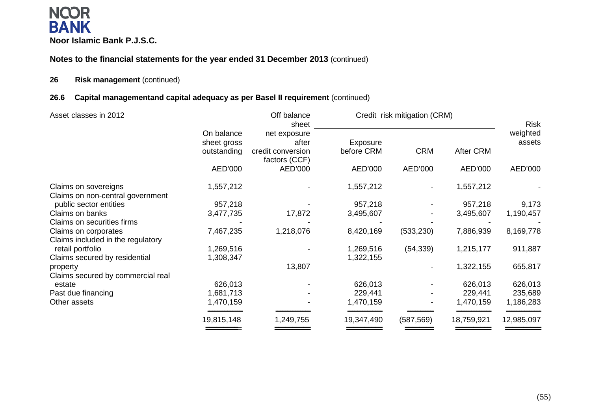### **NCOR BANK Noor Islamic Bank P.J.S.C.**

### **Notes to the financial statements for the year ended 31 December 2013** (continued)

### **26 Risk management** (continued)

### **26.6 Capital managementand capital adequacy as per Basel II requirement** (continued)

| Asset classes in 2012                                    |                           | Off balance<br>sheet               |            | Credit risk mitigation (CRM) |                  | <b>Risk</b>        |
|----------------------------------------------------------|---------------------------|------------------------------------|------------|------------------------------|------------------|--------------------|
|                                                          | On balance<br>sheet gross | net exposure<br>after              | Exposure   |                              |                  | weighted<br>assets |
|                                                          | outstanding               | credit conversion<br>factors (CCF) | before CRM | <b>CRM</b>                   | <b>After CRM</b> |                    |
|                                                          | AED'000                   | AED'000                            | AED'000    | AED'000                      | AED'000          | AED'000            |
| Claims on sovereigns<br>Claims on non-central government | 1,557,212                 |                                    | 1,557,212  |                              | 1,557,212        |                    |
| public sector entities                                   | 957,218                   |                                    | 957,218    |                              | 957,218          | 9,173              |
| Claims on banks                                          | 3,477,735                 | 17,872                             | 3,495,607  |                              | 3,495,607        | 1,190,457          |
| Claims on securities firms                               |                           |                                    |            |                              |                  |                    |
| Claims on corporates                                     | 7,467,235                 | 1,218,076                          | 8,420,169  | (533, 230)                   | 7,886,939        | 8,169,778          |
| Claims included in the regulatory                        |                           |                                    |            |                              |                  |                    |
| retail portfolio                                         | 1,269,516                 |                                    | 1,269,516  | (54, 339)                    | 1,215,177        | 911,887            |
| Claims secured by residential                            | 1,308,347                 |                                    | 1,322,155  |                              |                  |                    |
| property                                                 |                           | 13,807                             |            |                              | 1,322,155        | 655,817            |
| Claims secured by commercial real                        |                           |                                    |            |                              |                  |                    |
| estate                                                   | 626,013                   |                                    | 626,013    |                              | 626,013          | 626,013            |
| Past due financing                                       | 1,681,713                 |                                    | 229,441    |                              | 229,441          | 235,689            |
| Other assets                                             | 1,470,159                 |                                    | 1,470,159  |                              | 1,470,159        | 1,186,283          |
|                                                          | 19,815,148                | 1,249,755                          | 19,347,490 | (587, 569)                   | 18,759,921       | 12,985,097         |
|                                                          |                           |                                    |            |                              |                  |                    |